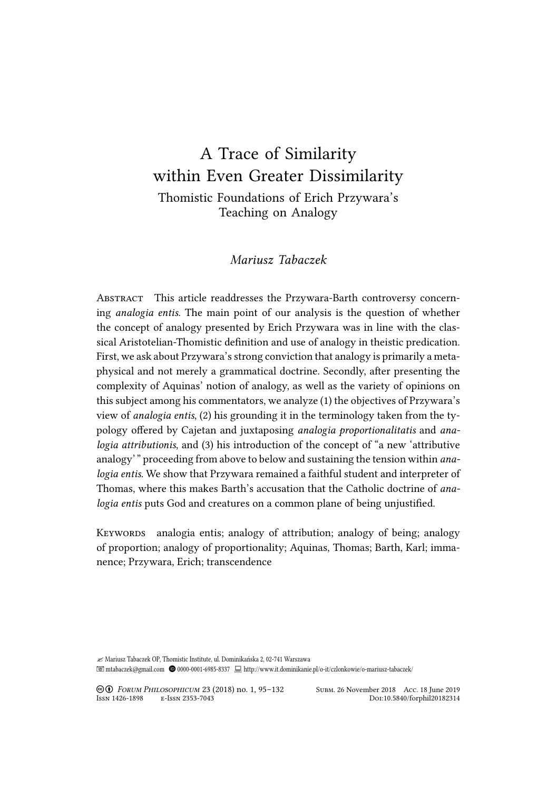# A Trace of Similarity within Even Greater Dissimilarity Thomistic Foundations of Erich Przywara's Teaching on Analogy

# *Mariusz Tabaczek*

ABSTRACT This article readdresses the Przywara-Barth controversy concerning *analogia entis*. The main point of our analysis is the question of whether the concept of analogy presented by Erich Przywara was in line with the classical Aristotelian-Thomistic definition and use of analogy in theistic predication. First, we ask about Przywara's strong conviction that analogy is primarily a metaphysical and not merely a grammatical doctrine. Secondly, after presenting the complexity of Aquinas' notion of analogy, as well as the variety of opinions on this subject among his commentators, we analyze (1) the objectives of Przywara's view of *analogia entis*, (2) his grounding it in the terminology taken from the typology offered by Cajetan and juxtaposing *analogia proportionalitatis* and *analogia attributionis*, and (3) his introduction of the concept of "a new 'attributive analogy' " proceeding from above to below and sustaining the tension within *analogia entis*. We show that Przywara remained a faithful student and interpreter of Thomas, where this makes Barth's accusation that the Catholic doctrine of *analogia entis* puts God and creatures on a common plane of being unjustified.

KEYWORDS analogia entis; analogy of attribution; analogy of being; analogy of proportion; analogy of proportionality; Aquinas, Thomas; Barth, Karl; immanence; Przywara, Erich; transcendence

✍ Mariusz Tabaczek OP, Thomistic Institute, ul. Dominikańska 2, 02-741 Warszawa mtabaczek@gmail.com 0000-0001-6985-8337 http://www.it.dominikanie.pl/o-it/czlonkowie/o-mariusz-tabaczek/

° Ə *FORUM PHILOSOPHICUM* 23 (2018) no. 1, 95–132 SUBM. 26 November 2018 ACC. 18 June 2019

DOI:10.5840/forphil20182314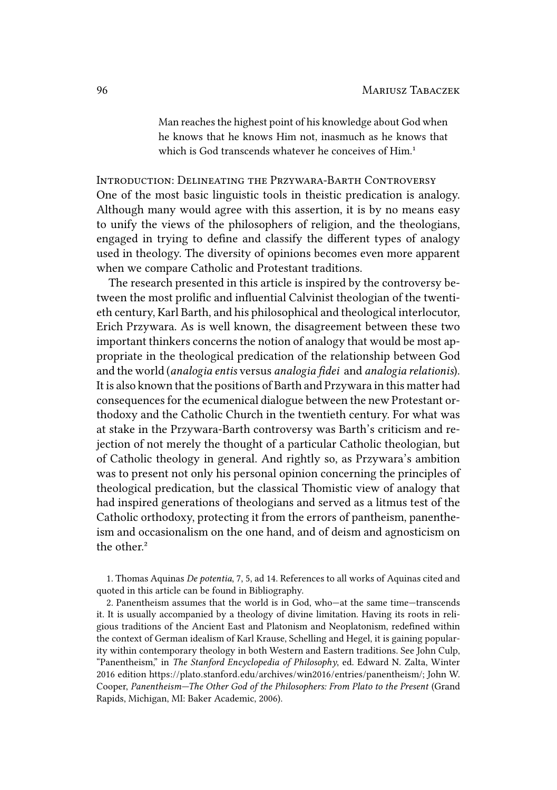Man reaches the highest point of his knowledge about God when he knows that he knows Him not, inasmuch as he knows that which is God transcends whatever he conceives of Him.<sup>1</sup>

INTRODUCTION: DELINEATING THE PRZYWARA-BARTH CONTROVERSY One of the most basic linguistic tools in theistic predication is analogy. Although many would agree with this assertion, it is by no means easy to unify the views of the philosophers of religion, and the theologians, engaged in trying to define and classify the different types of analogy used in theology. The diversity of opinions becomes even more apparent when we compare Catholic and Protestant traditions.

The research presented in this article is inspired by the controversy between the most prolific and influential Calvinist theologian of the twentieth century, Karl Barth, and his philosophical and theological interlocutor, Erich Przywara. As is well known, the disagreement between these two important thinkers concerns the notion of analogy that would be most appropriate in the theological predication of the relationship between God and the world (*analogia entis* versus *analogia fidei* and *analogia relationis*). It is also known that the positions of Barth and Przywara in this matter had consequences for the ecumenical dialogue between the new Protestant orthodoxy and the Catholic Church in the twentieth century. For what was at stake in the Przywara-Barth controversy was Barth's criticism and rejection of not merely the thought of a particular Catholic theologian, but of Catholic theology in general. And rightly so, as Przywara's ambition was to present not only his personal opinion concerning the principles of theological predication, but the classical Thomistic view of analogy that had inspired generations of theologians and served as a litmus test of the Catholic orthodoxy, protecting it from the errors of pantheism, panentheism and occasionalism on the one hand, and of deism and agnosticism on the other.²

1. Thomas Aquinas *De potentia*, 7, 5, ad 14. References to all works of Aquinas cited and quoted in this article can be found in Bibliography.

2. Panentheism assumes that the world is in God, who—at the same time—transcends it. It is usually accompanied by a theology of divine limitation. Having its roots in religious traditions of the Ancient East and Platonism and Neoplatonism, redefined within the context of German idealism of Karl Krause, Schelling and Hegel, it is gaining popularity within contemporary theology in both Western and Eastern traditions. See John Culp, "Panentheism," in *The Stanford Encyclopedia of Philosophy*, ed. Edward N. Zalta, Winter 2016 edition https://plato.stanford.edu/archives/win2016/entries/panentheism/; John W. Cooper, *Panentheism—The Other God of the Philosophers: From Plato to the Present* (Grand Rapids, Michigan, MI: Baker Academic, 2006).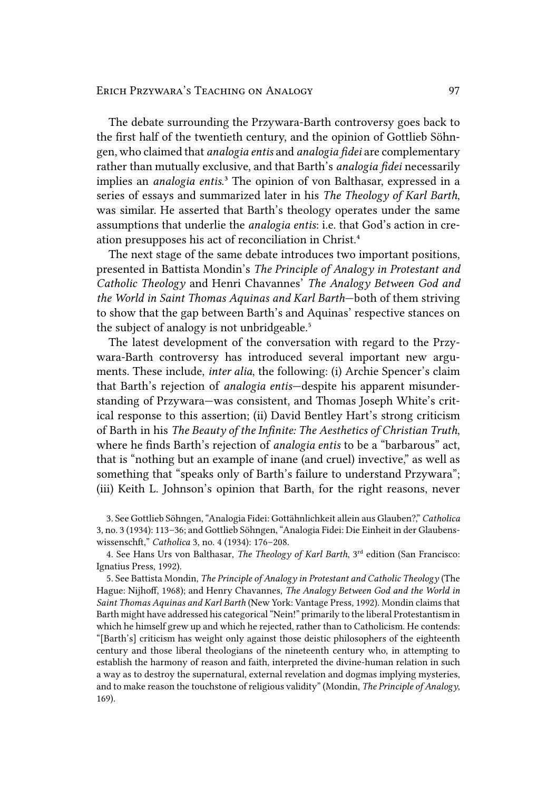The debate surrounding the Przywara-Barth controversy goes back to the first half of the twentieth century, and the opinion of Gottlieb Söhngen, who claimed that *analogia entis* and *analogia fidei* are complementary rather than mutually exclusive, and that Barth's *analogia fidei* necessarily implies an *analogia entis*.<sup>3</sup> The opinion of von Balthasar, expressed in a series of essays and summarized later in his *The Theology of Karl Barth*, was similar. He asserted that Barth's theology operates under the same assumptions that underlie the *analogia entis*: i.e. that God's action in creation presupposes his act of reconciliation in Christ.<sup>4</sup>

The next stage of the same debate introduces two important positions, presented in Battista Mondin's *The Principle of Analogy in Protestant and Catholic Theology* and Henri Chavannes' *The Analogy Between God and the World in Saint Thomas Aquinas and Karl Barth*—both of them striving to show that the gap between Barth's and Aquinas' respective stances on the subject of analogy is not unbridgeable.<sup>5</sup>

The latest development of the conversation with regard to the Przywara-Barth controversy has introduced several important new arguments. These include, *inter alia*, the following: (i) Archie Spencer's claim that Barth's rejection of *analogia entis*—despite his apparent misunderstanding of Przywara—was consistent, and Thomas Joseph White's critical response to this assertion; (ii) David Bentley Hart's strong criticism of Barth in his *The Beauty of the Infinite: The Aesthetics of Christian Truth*, where he finds Barth's rejection of *analogia entis* to be a "barbarous" act, that is "nothing but an example of inane (and cruel) invective," as well as something that "speaks only of Barth's failure to understand Przywara"; (iii) Keith L. Johnson's opinion that Barth, for the right reasons, never

3. See Gottlieb Söhngen, "Analogia Fidei: Gottähnlichkeit allein aus Glauben?," *Catholica* 3, no. 3 (1934): 113–36; and Gottlieb Söhngen, "Analogia Fidei: Die Einheit in der Glaubenswissenschft," *Catholica* 3, no. 4 (1934): 176–208.

4. See Hans Urs von Balthasar, *The Theology of Karl Barth*, 3<sup>rd</sup> edition (San Francisco: Ignatius Press, 1992).

5. See Battista Mondin, *The Principle of Analogy in Protestant and Catholic Theology* (The Hague: Nijhoff, 1968); and Henry Chavannes, *The Analogy Between God and the World in Saint Thomas Aquinas and Karl Barth* (New York: Vantage Press, 1992). Mondin claims that Barth might have addressed his categorical "Nein!" primarily to the liberal Protestantism in which he himself grew up and which he rejected, rather than to Catholicism. He contends: "[Barth's] criticism has weight only against those deistic philosophers of the eighteenth century and those liberal theologians of the nineteenth century who, in attempting to establish the harmony of reason and faith, interpreted the divine-human relation in such a way as to destroy the supernatural, external revelation and dogmas implying mysteries, and to make reason the touchstone of religious validity" (Mondin, *The Principle of Analogy*, 169).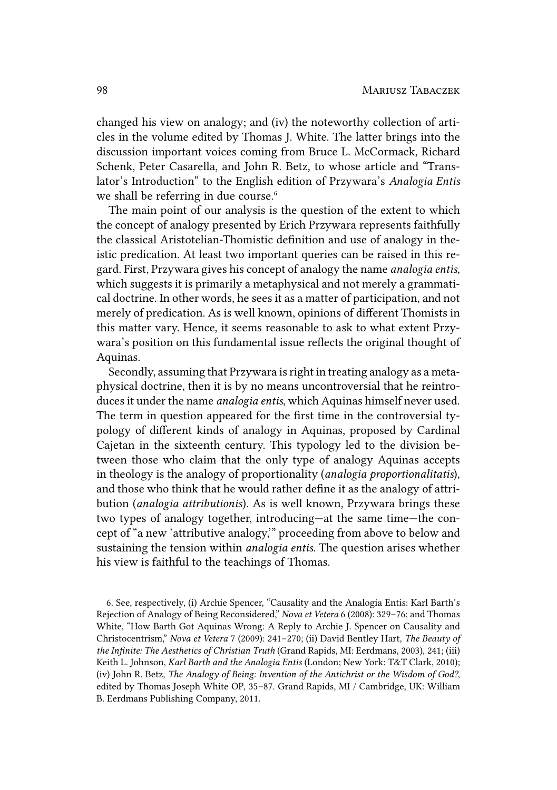changed his view on analogy; and (iv) the noteworthy collection of articles in the volume edited by Thomas J. White. The latter brings into the discussion important voices coming from Bruce L. McCormack, Richard Schenk, Peter Casarella, and John R. Betz, to whose article and "Translator's Introduction" to the English edition of Przywara's *Analogia Entis* we shall be referring in due course.<sup>6</sup>

The main point of our analysis is the question of the extent to which the concept of analogy presented by Erich Przywara represents faithfully the classical Aristotelian-Thomistic definition and use of analogy in theistic predication. At least two important queries can be raised in this regard. First, Przywara gives his concept of analogy the name *analogia entis*, which suggests it is primarily a metaphysical and not merely a grammatical doctrine. In other words, he sees it as a matter of participation, and not merely of predication. As is well known, opinions of different Thomists in this matter vary. Hence, it seems reasonable to ask to what extent Przywara's position on this fundamental issue reflects the original thought of Aquinas.

Secondly, assuming that Przywara is right in treating analogy as a metaphysical doctrine, then it is by no means uncontroversial that he reintroduces it under the name *analogia entis*, which Aquinas himself never used. The term in question appeared for the first time in the controversial typology of different kinds of analogy in Aquinas, proposed by Cardinal Cajetan in the sixteenth century. This typology led to the division between those who claim that the only type of analogy Aquinas accepts in theology is the analogy of proportionality (*analogia proportionalitatis*), and those who think that he would rather define it as the analogy of attribution (*analogia attributionis*). As is well known, Przywara brings these two types of analogy together, introducing—at the same time—the concept of "a new 'attributive analogy,'" proceeding from above to below and sustaining the tension within *analogia entis*. The question arises whether his view is faithful to the teachings of Thomas.

6. See, respectively, (i) Archie Spencer, "Causality and the Analogia Entis: Karl Barth's Rejection of Analogy of Being Reconsidered," *Nova et Vetera* 6 (2008): 329–76; and Thomas White, "How Barth Got Aquinas Wrong: A Reply to Archie J. Spencer on Causality and Christocentrism," *Nova et Vetera* 7 (2009): 241–270; (ii) David Bentley Hart, *The Beauty of the Infinite: The Aesthetics of Christian Truth* (Grand Rapids, MI: Eerdmans, 2003), 241; (iii) Keith L. Johnson, *Karl Barth and the Analogia Entis* (London; New York: T&T Clark, 2010); (iv) John R. Betz, *The Analogy of Being: Invention of the Antichrist or the Wisdom of God?*, edited by Thomas Joseph White OP, 35–87. Grand Rapids, MI / Cambridge, UK: William B. Eerdmans Publishing Company, 2011.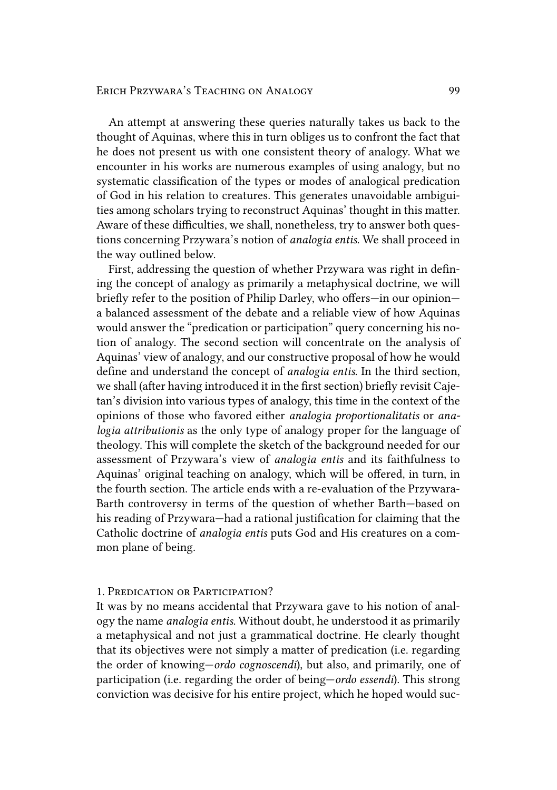An attempt at answering these queries naturally takes us back to the thought of Aquinas, where this in turn obliges us to confront the fact that he does not present us with one consistent theory of analogy. What we encounter in his works are numerous examples of using analogy, but no systematic classification of the types or modes of analogical predication of God in his relation to creatures. This generates unavoidable ambiguities among scholars trying to reconstruct Aquinas' thought in this matter. Aware of these difficulties, we shall, nonetheless, try to answer both questions concerning Przywara's notion of *analogia entis*. We shall proceed in the way outlined below.

First, addressing the question of whether Przywara was right in defining the concept of analogy as primarily a metaphysical doctrine, we will briefly refer to the position of Philip Darley, who offers—in our opinion a balanced assessment of the debate and a reliable view of how Aquinas would answer the "predication or participation" query concerning his notion of analogy. The second section will concentrate on the analysis of Aquinas' view of analogy, and our constructive proposal of how he would define and understand the concept of *analogia entis*. In the third section, we shall (after having introduced it in the first section) briefly revisit Cajetan's division into various types of analogy, this time in the context of the opinions of those who favored either *analogia proportionalitatis* or *analogia attributionis* as the only type of analogy proper for the language of theology. This will complete the sketch of the background needed for our assessment of Przywara's view of *analogia entis* and its faithfulness to Aquinas' original teaching on analogy, which will be offered, in turn, in the fourth section. The article ends with a re-evaluation of the Przywara-Barth controversy in terms of the question of whether Barth—based on his reading of Przywara—had a rational justification for claiming that the Catholic doctrine of *analogia entis* puts God and His creatures on a common plane of being.

# 1. PREDICATION OR PARTICIPATION?

It was by no means accidental that Przywara gave to his notion of analogy the name *analogia entis*. Without doubt, he understood it as primarily a metaphysical and not just a grammatical doctrine. He clearly thought that its objectives were not simply a matter of predication (i.e. regarding the order of knowing—*ordo cognoscendi*), but also, and primarily, one of participation (i.e. regarding the order of being—*ordo essendi*). This strong conviction was decisive for his entire project, which he hoped would suc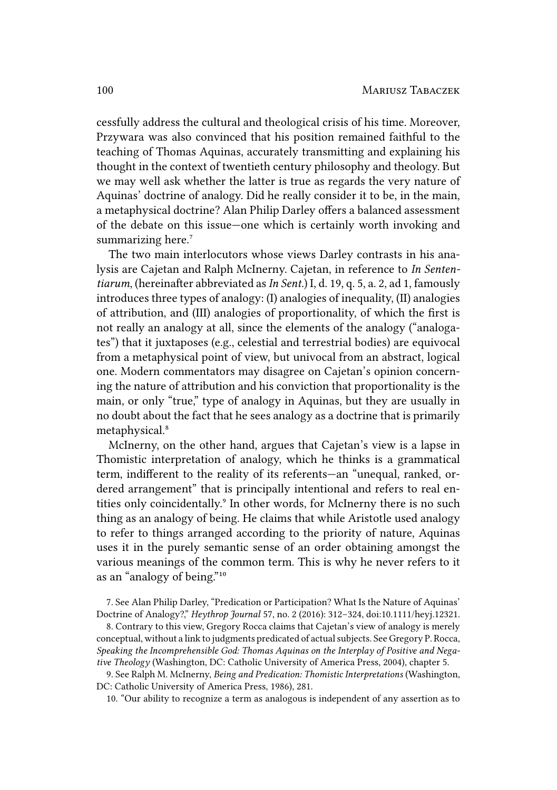cessfully address the cultural and theological crisis of his time. Moreover, Przywara was also convinced that his position remained faithful to the teaching of Thomas Aquinas, accurately transmitting and explaining his thought in the context of twentieth century philosophy and theology. But we may well ask whether the latter is true as regards the very nature of Aquinas' doctrine of analogy. Did he really consider it to be, in the main, a metaphysical doctrine? Alan Philip Darley offers a balanced assessment of the debate on this issue—one which is certainly worth invoking and summarizing here.<sup>7</sup>

The two main interlocutors whose views Darley contrasts in his analysis are Cajetan and Ralph McInerny. Cajetan, in reference to *In Sententiarum*, (hereinafter abbreviated as*In Sent.*) I, d. 19, q. 5, a. 2, ad 1, famously introduces three types of analogy: (I) analogies of inequality, (II) analogies of attribution, and (III) analogies of proportionality, of which the first is not really an analogy at all, since the elements of the analogy ("analogates") that it juxtaposes (e.g., celestial and terrestrial bodies) are equivocal from a metaphysical point of view, but univocal from an abstract, logical one. Modern commentators may disagree on Cajetan's opinion concerning the nature of attribution and his conviction that proportionality is the main, or only "true," type of analogy in Aquinas, but they are usually in no doubt about the fact that he sees analogy as a doctrine that is primarily metaphysical.<sup>8</sup>

McInerny, on the other hand, argues that Cajetan's view is a lapse in Thomistic interpretation of analogy, which he thinks is a grammatical term, indifferent to the reality of its referents—an "unequal, ranked, ordered arrangement" that is principally intentional and refers to real entities only coincidentally.<sup>9</sup> In other words, for McInerny there is no such thing as an analogy of being. He claims that while Aristotle used analogy to refer to things arranged according to the priority of nature, Aquinas uses it in the purely semantic sense of an order obtaining amongst the various meanings of the common term. This is why he never refers to it as an "analogy of being."<sup>10</sup>

8. Contrary to this view, Gregory Rocca claims that Cajetan's view of analogy is merely conceptual, without a link to judgments predicated of actual subjects. See Gregory P. Rocca, *Speaking the Incomprehensible God: Thomas Aquinas on the Interplay of Positive and Negative Theology* (Washington, DC: Catholic University of America Press, 2004), chapter 5.

9. See Ralph M. McInerny, *Being and Predication: Thomistic Interpretations* (Washington, DC: Catholic University of America Press, 1986), 281.

10. "Our ability to recognize a term as analogous is independent of any assertion as to

<sup>7.</sup> See Alan Philip Darley, "Predication or Participation? What Is the Nature of Aquinas' Doctrine of Analogy?," *Heythrop Journal* 57, no. 2 (2016): 312–324, doi:10.1111/heyj.12321.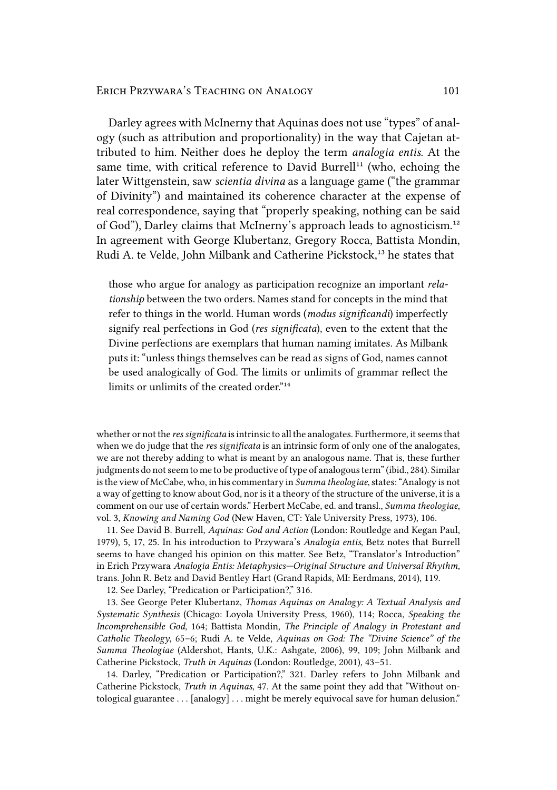Darley agrees with McInerny that Aquinas does not use "types" of analogy (such as attribution and proportionality) in the way that Cajetan attributed to him. Neither does he deploy the term *analogia entis*. At the same time, with critical reference to David Burrell<sup>11</sup> (who, echoing the later Wittgenstein, saw *scientia divina* as a language game ("the grammar of Divinity") and maintained its coherence character at the expense of real correspondence, saying that "properly speaking, nothing can be said of God"), Darley claims that McInerny's approach leads to agnosticism.<sup>12</sup> In agreement with George Klubertanz, Gregory Rocca, Battista Mondin, Rudi A. te Velde, John Milbank and Catherine Pickstock,<sup>13</sup> he states that

those who argue for analogy as participation recognize an important *relationship* between the two orders. Names stand for concepts in the mind that refer to things in the world. Human words (*modus significandi*) imperfectly signify real perfections in God (*res significata*), even to the extent that the Divine perfections are exemplars that human naming imitates. As Milbank puts it: "unless things themselves can be read as signs of God, names cannot be used analogically of God. The limits or unlimits of grammar reflect the limits or unlimits of the created order."<sup>14</sup>

whether or not the *res significata* is intrinsic to all the analogates. Furthermore, it seems that when we do judge that the *res significata* is an intrinsic form of only one of the analogates, we are not thereby adding to what is meant by an analogous name. That is, these further judgments do not seem to me to be productive of type of analogous term" (ibid., 284). Similar is the view of McCabe, who, in his commentary in *Summa theologiae*, states: "Analogy is not a way of getting to know about God, nor is it a theory of the structure of the universe, it is a comment on our use of certain words." Herbert McCabe, ed. and transl., *Summa theologiae*, vol. 3, *Knowing and Naming God* (New Haven, CT: Yale University Press, 1973), 106.

11. See David B. Burrell, *Aquinas: God and Action* (London: Routledge and Kegan Paul, 1979), 5, 17, 25. In his introduction to Przywara's *Analogia entis*, Betz notes that Burrell seems to have changed his opinion on this matter. See Betz, "Translator's Introduction" in Erich Przywara *Analogia Entis: Metaphysics—Original Structure and Universal Rhythm*, trans. John R. Betz and David Bentley Hart (Grand Rapids, MI: Eerdmans, 2014), 119.

12. See Darley, "Predication or Participation?," 316.

13. See George Peter Klubertanz, *Thomas Aquinas on Analogy: A Textual Analysis and Systematic Synthesis* (Chicago: Loyola University Press, 1960), 114; Rocca, *Speaking the Incomprehensible God*, 164; Battista Mondin, *The Principle of Analogy in Protestant and Catholic Theology*, 65–6; Rudi A. te Velde, *Aquinas on God: The "Divine Science" of the Summa Theologiae* (Aldershot, Hants, U.K.: Ashgate, 2006), 99, 109; John Milbank and Catherine Pickstock, *Truth in Aquinas* (London: Routledge, 2001), 43–51.

14. Darley, "Predication or Participation?," 321. Darley refers to John Milbank and Catherine Pickstock, *Truth in Aquinas*, 47. At the same point they add that "Without ontological guarantee . . . [analogy] . . . might be merely equivocal save for human delusion."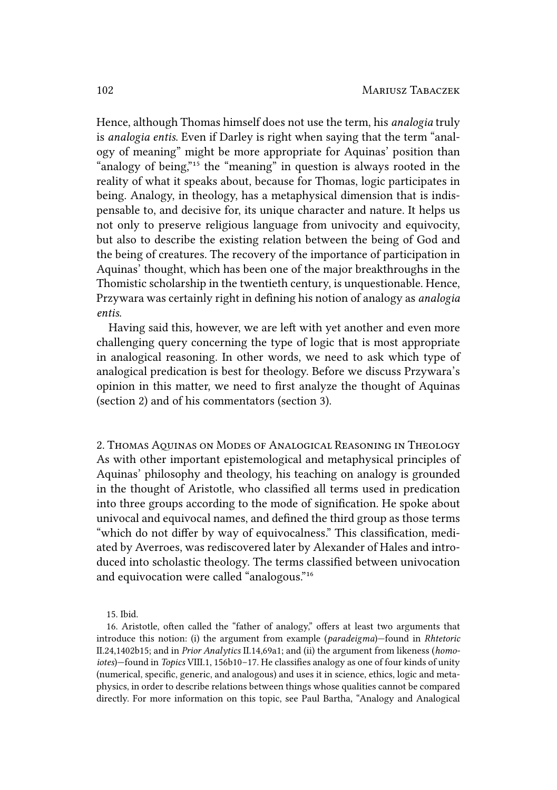Hence, although Thomas himself does not use the term, his *analogia* truly is *analogia entis*. Even if Darley is right when saying that the term "analogy of meaning" might be more appropriate for Aquinas' position than "analogy of being,"<sup>15</sup> the "meaning" in question is always rooted in the reality of what it speaks about, because for Thomas, logic participates in being. Analogy, in theology, has a metaphysical dimension that is indispensable to, and decisive for, its unique character and nature. It helps us not only to preserve religious language from univocity and equivocity, but also to describe the existing relation between the being of God and the being of creatures. The recovery of the importance of participation in Aquinas' thought, which has been one of the major breakthroughs in the Thomistic scholarship in the twentieth century, is unquestionable. Hence, Przywara was certainly right in defining his notion of analogy as *analogia entis*.

Having said this, however, we are left with yet another and even more challenging query concerning the type of logic that is most appropriate in analogical reasoning. In other words, we need to ask which type of analogical predication is best for theology. Before we discuss Przywara's opinion in this matter, we need to first analyze the thought of Aquinas (section 2) and of his commentators (section 3).

2. THOMAS AqUINAS ON MODES OF ANALOGICAL REASONING IN THEOLOGY As with other important epistemological and metaphysical principles of Aquinas' philosophy and theology, his teaching on analogy is grounded in the thought of Aristotle, who classified all terms used in predication into three groups according to the mode of signification. He spoke about univocal and equivocal names, and defined the third group as those terms "which do not differ by way of equivocalness." This classification, mediated by Averroes, was rediscovered later by Alexander of Hales and introduced into scholastic theology. The terms classified between univocation and equivocation were called "analogous."<sup>16</sup>

<sup>15.</sup> Ibid.

<sup>16.</sup> Aristotle, often called the "father of analogy," offers at least two arguments that introduce this notion: (i) the argument from example (*paradeigma*)—found in *Rhtetoric* II.24,1402b15; and in *Prior Analytics* II.14,69a1; and (ii) the argument from likeness (*homoiotes*)—found in *Topics* VIII.1, 156b10–17. He classifies analogy as one of four kinds of unity (numerical, specific, generic, and analogous) and uses it in science, ethics, logic and metaphysics, in order to describe relations between things whose qualities cannot be compared directly. For more information on this topic, see Paul Bartha, "Analogy and Analogical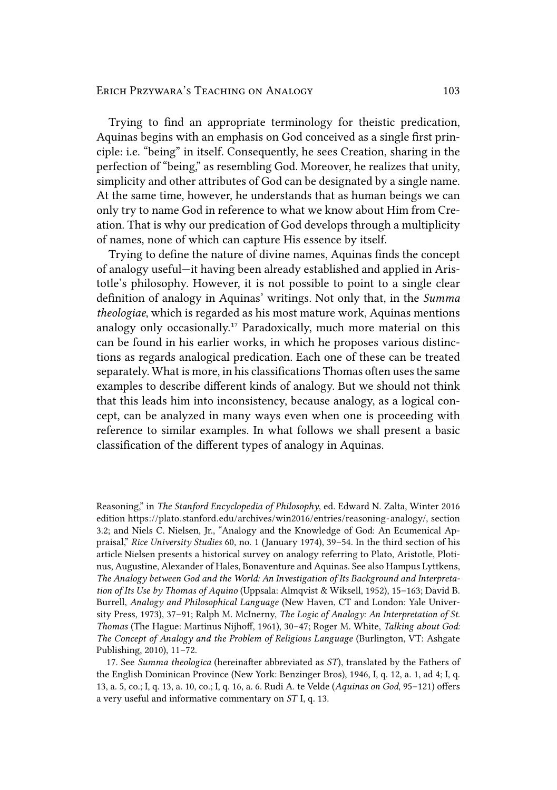Trying to find an appropriate terminology for theistic predication, Aquinas begins with an emphasis on God conceived as a single first principle: i.e. "being" in itself. Consequently, he sees Creation, sharing in the perfection of "being," as resembling God. Moreover, he realizes that unity, simplicity and other attributes of God can be designated by a single name. At the same time, however, he understands that as human beings we can only try to name God in reference to what we know about Him from Creation. That is why our predication of God develops through a multiplicity of names, none of which can capture His essence by itself.

Trying to define the nature of divine names, Aquinas finds the concept of analogy useful—it having been already established and applied in Aristotle's philosophy. However, it is not possible to point to a single clear definition of analogy in Aquinas' writings. Not only that, in the *Summa theologiae*, which is regarded as his most mature work, Aquinas mentions analogy only occasionally.<sup>17</sup> Paradoxically, much more material on this can be found in his earlier works, in which he proposes various distinctions as regards analogical predication. Each one of these can be treated separately. What is more, in his classifications Thomas often uses the same examples to describe different kinds of analogy. But we should not think that this leads him into inconsistency, because analogy, as a logical concept, can be analyzed in many ways even when one is proceeding with reference to similar examples. In what follows we shall present a basic classification of the different types of analogy in Aquinas.

Reasoning," in *The Stanford Encyclopedia of Philosophy*, ed. Edward N. Zalta, Winter 2016 edition https://plato.stanford.edu/archives/win2016/entries/reasoning-analogy/, section 3.2; and Niels C. Nielsen, Jr., "Analogy and the Knowledge of God: An Ecumenical Appraisal," *Rice University Studies* 60, no. 1 (January 1974), 39–54. In the third section of his article Nielsen presents a historical survey on analogy referring to Plato, Aristotle, Plotinus, Augustine, Alexander of Hales, Bonaventure and Aquinas. See also Hampus Lyttkens, *The Analogy between God and the World: An Investigation of Its Background and Interpretation of Its Use by Thomas of Aquino* (Uppsala: Almqvist & Wiksell, 1952), 15–163; David B. Burrell, *Analogy and Philosophical Language* (New Haven, CT and London: Yale University Press, 1973), 37–91; Ralph M. McInerny, *The Logic of Analogy: An Interpretation of St. Thomas* (The Hague: Martinus Nijhoff, 1961), 30–47; Roger M. White, *Talking about God: The Concept of Analogy and the Problem of Religious Language* (Burlington, VT: Ashgate Publishing, 2010), 11–72.

<sup>17.</sup> See *Summa theologica* (hereinafter abbreviated as *ST*), translated by the Fathers of the English Dominican Province (New York: Benzinger Bros), 1946, I, q. 12, a. 1, ad 4; I, q. 13, a. 5, co.; I, q. 13, a. 10, co.; I, q. 16, a. 6. Rudi A. te Velde (*Aquinas on God*, 95–121) offers a very useful and informative commentary on *ST* I, q. 13.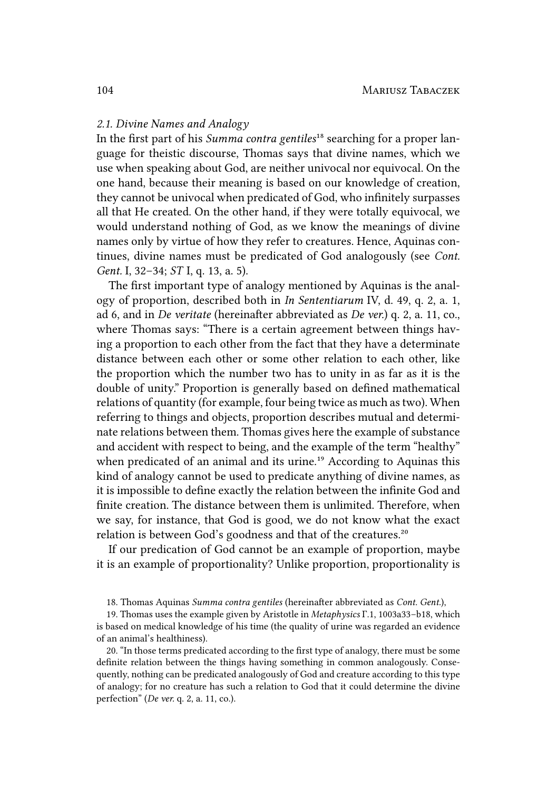#### *2.1. Divine Names and Analogy*

In the first part of his *Summa contra gentiles<sup>18</sup>* searching for a proper language for theistic discourse, Thomas says that divine names, which we use when speaking about God, are neither univocal nor equivocal. On the one hand, because their meaning is based on our knowledge of creation, they cannot be univocal when predicated of God, who infinitely surpasses all that He created. On the other hand, if they were totally equivocal, we would understand nothing of God, as we know the meanings of divine names only by virtue of how they refer to creatures. Hence, Aquinas continues, divine names must be predicated of God analogously (see *Cont. Gent.* I, 32–34; *ST* I, q. 13, a. 5).

The first important type of analogy mentioned by Aquinas is the analogy of proportion, described both in *In Sententiarum* IV, d. 49, q. 2, a. 1, ad 6, and in *De veritate* (hereinafter abbreviated as *De ver.*) q. 2, a. 11, co., where Thomas says: "There is a certain agreement between things having a proportion to each other from the fact that they have a determinate distance between each other or some other relation to each other, like the proportion which the number two has to unity in as far as it is the double of unity." Proportion is generally based on defined mathematical relations of quantity (for example, four being twice as much as two). When referring to things and objects, proportion describes mutual and determinate relations between them. Thomas gives here the example of substance and accident with respect to being, and the example of the term "healthy" when predicated of an animal and its urine.<sup>19</sup> According to Aquinas this kind of analogy cannot be used to predicate anything of divine names, as it is impossible to define exactly the relation between the infinite God and finite creation. The distance between them is unlimited. Therefore, when we say, for instance, that God is good, we do not know what the exact relation is between God's goodness and that of the creatures.<sup>20</sup>

If our predication of God cannot be an example of proportion, maybe it is an example of proportionality? Unlike proportion, proportionality is

20. "In those terms predicated according to the first type of analogy, there must be some definite relation between the things having something in common analogously. Consequently, nothing can be predicated analogously of God and creature according to this type of analogy; for no creature has such a relation to God that it could determine the divine perfection" (*De ver.* q. 2, a. 11, co.).

<sup>18.</sup> Thomas Aquinas *Summa contra gentiles* (hereinafter abbreviated as *Cont. Gent.*),

<sup>19.</sup> Thomas uses the example given by Aristotle in *Metaphysics* Γ.1, 1003a33–b18, which is based on medical knowledge of his time (the quality of urine was regarded an evidence of an animal's healthiness).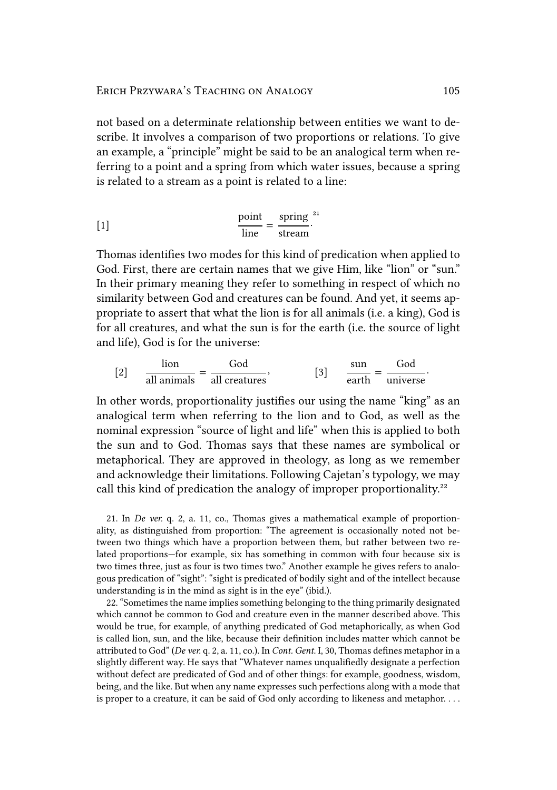not based on a determinate relationship between entities we want to describe. It involves a comparison of two proportions or relations. To give an example, a "principle" might be said to be an analogical term when referring to a point and a spring from which water issues, because a spring is related to a stream as a point is related to a line:

$$
\frac{\text{point}}{\text{line}} = \frac{\text{spring}}{\text{stream}}^2
$$

Thomas identifies two modes for this kind of predication when applied to God. First, there are certain names that we give Him, like "lion" or "sun." In their primary meaning they refer to something in respect of which no similarity between God and creatures can be found. And yet, it seems appropriate to assert that what the lion is for all animals (i.e. a king), God is for all creatures, and what the sun is for the earth (i.e. the source of light and life), God is for the universe:

$$
[2] \qquad \frac{\text{lion}}{\text{all animals}} = \frac{\text{God}}{\text{all creates}}, \qquad [3] \qquad \frac{\text{sun}}{\text{earth}} = \frac{\text{God}}{\text{universe}}.
$$

In other words, proportionality justifies our using the name "king" as an analogical term when referring to the lion and to God, as well as the nominal expression "source of light and life" when this is applied to both the sun and to God. Thomas says that these names are symbolical or metaphorical. They are approved in theology, as long as we remember and acknowledge their limitations. Following Cajetan's typology, we may call this kind of predication the analogy of improper proportionality.²²

21. In *De ver.* q. 2, a. 11, co., Thomas gives a mathematical example of proportionality, as distinguished from proportion: "The agreement is occasionally noted not between two things which have a proportion between them, but rather between two related proportions—for example, six has something in common with four because six is two times three, just as four is two times two." Another example he gives refers to analogous predication of "sight": "sight is predicated of bodily sight and of the intellect because understanding is in the mind as sight is in the eye" (ibid.).

22. "Sometimes the name implies something belonging to the thing primarily designated which cannot be common to God and creature even in the manner described above. This would be true, for example, of anything predicated of God metaphorically, as when God is called lion, sun, and the like, because their definition includes matter which cannot be attributed to God" (*De ver.* q. 2, a. 11, co.). In *Cont. Gent.* I, 30, Thomas defines metaphor in a slightly different way. He says that "Whatever names unqualifiedly designate a perfection without defect are predicated of God and of other things: for example, goodness, wisdom, being, and the like. But when any name expresses such perfections along with a mode that is proper to a creature, it can be said of God only according to likeness and metaphor. . . .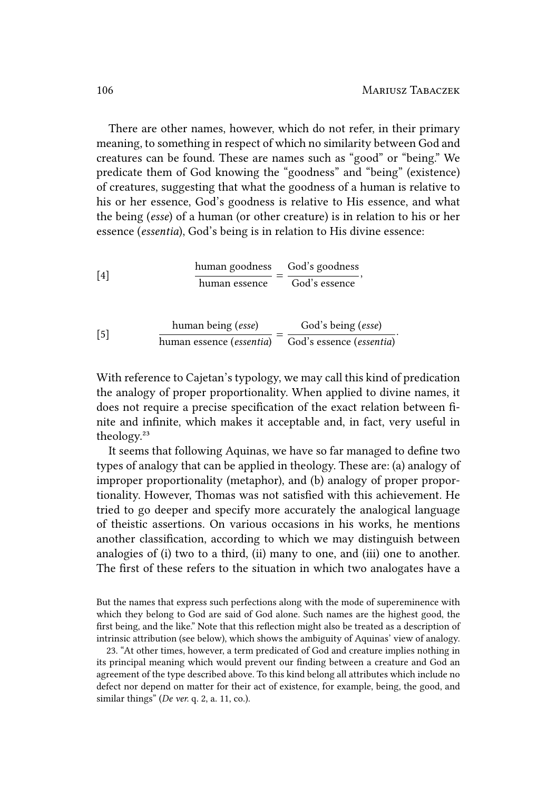There are other names, however, which do not refer, in their primary meaning, to something in respect of which no similarity between God and creatures can be found. These are names such as "good" or "being." We predicate them of God knowing the "goodness" and "being" (existence) of creatures, suggesting that what the goodness of a human is relative to his or her essence, God's goodness is relative to His essence, and what the being (*esse*) of a human (or other creature) is in relation to his or her essence (*essentia*), God's being is in relation to His divine essence:

[4]  
\n
$$
\frac{\text{human goodness}}{\text{human essence}} = \frac{\text{God's goodness}}{\text{God's essence}},
$$
\n
$$
\text{human being (esse)} \qquad \qquad \text{God's being (esse)}
$$

[5] human being (*esse*)<br>human essence (*essentia*) =  $\frac{God's being (esse)}{God's essence (essen)}$ God's essence (*essentia*) .

With reference to Cajetan's typology, we may call this kind of predication the analogy of proper proportionality. When applied to divine names, it does not require a precise specification of the exact relation between finite and infinite, which makes it acceptable and, in fact, very useful in theology.²³

It seems that following Aquinas, we have so far managed to define two types of analogy that can be applied in theology. These are: (a) analogy of improper proportionality (metaphor), and (b) analogy of proper proportionality. However, Thomas was not satisfied with this achievement. He tried to go deeper and specify more accurately the analogical language of theistic assertions. On various occasions in his works, he mentions another classification, according to which we may distinguish between analogies of (i) two to a third, (ii) many to one, and (iii) one to another. The first of these refers to the situation in which two analogates have a

But the names that express such perfections along with the mode of supereminence with which they belong to God are said of God alone. Such names are the highest good, the first being, and the like." Note that this reflection might also be treated as a description of intrinsic attribution (see below), which shows the ambiguity of Aquinas' view of analogy.

<sup>23. &</sup>quot;At other times, however, a term predicated of God and creature implies nothing in its principal meaning which would prevent our finding between a creature and God an agreement of the type described above. To this kind belong all attributes which include no defect nor depend on matter for their act of existence, for example, being, the good, and similar things" (*De ver.* q. 2, a. 11, co.).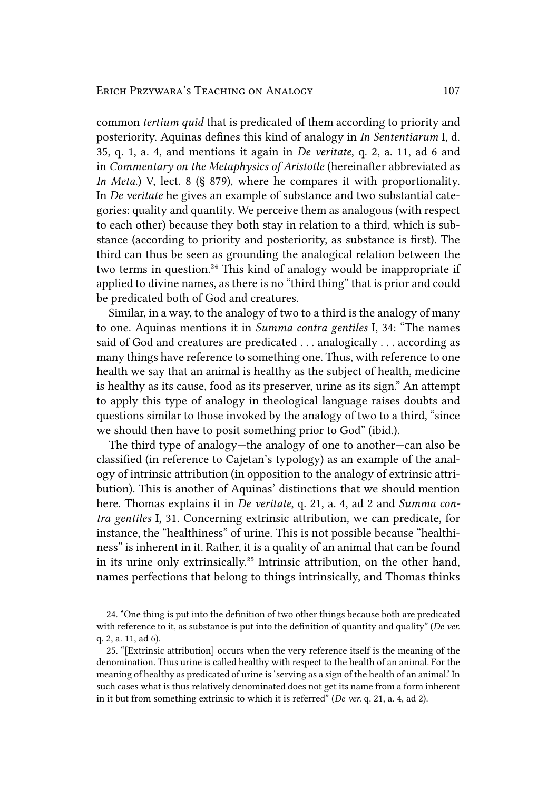common *tertium quid* that is predicated of them according to priority and posteriority. Aquinas defines this kind of analogy in *In Sententiarum* I, d. 35, q. 1, a. 4, and mentions it again in *De veritate*, q. 2, a. 11, ad 6 and in *Commentary on the Metaphysics of Aristotle* (hereinafter abbreviated as *In Meta.*) *V*, lect. 8 (§ 879), where he compares it with proportionality. In *De veritate* he gives an example of substance and two substantial categories: quality and quantity. We perceive them as analogous (with respect to each other) because they both stay in relation to a third, which is substance (according to priority and posteriority, as substance is first). The third can thus be seen as grounding the analogical relation between the two terms in question.<sup>24</sup> This kind of analogy would be inappropriate if applied to divine names, as there is no "third thing" that is prior and could be predicated both of God and creatures.

Similar, in a way, to the analogy of two to a third is the analogy of many to one. Aquinas mentions it in *Summa contra gentiles* I, 34: "The names said of God and creatures are predicated . . . analogically . . . according as many things have reference to something one. Thus, with reference to one health we say that an animal is healthy as the subject of health, medicine is healthy as its cause, food as its preserver, urine as its sign." An attempt to apply this type of analogy in theological language raises doubts and questions similar to those invoked by the analogy of two to a third, "since we should then have to posit something prior to God" (ibid.).

The third type of analogy—the analogy of one to another—can also be classified (in reference to Cajetan's typology) as an example of the analogy of intrinsic attribution (in opposition to the analogy of extrinsic attribution). This is another of Aquinas' distinctions that we should mention here. Thomas explains it in *De veritate*, q. 21, a. 4, ad 2 and *Summa contra gentiles* I, 31. Concerning extrinsic attribution, we can predicate, for instance, the "healthiness" of urine. This is not possible because "healthiness" is inherent in it. Rather, it is a quality of an animal that can be found in its urine only extrinsically.<sup>25</sup> Intrinsic attribution, on the other hand, names perfections that belong to things intrinsically, and Thomas thinks

<sup>24. &</sup>quot;One thing is put into the definition of two other things because both are predicated with reference to it, as substance is put into the definition of quantity and quality" (*De ver.* q. 2, a. 11, ad 6).

<sup>25. &</sup>quot;[Extrinsic attribution] occurs when the very reference itself is the meaning of the denomination. Thus urine is called healthy with respect to the health of an animal. For the meaning of healthy as predicated of urine is 'serving as a sign of the health of an animal.' In such cases what is thus relatively denominated does not get its name from a form inherent in it but from something extrinsic to which it is referred" (*De ver.* q. 21, a. 4, ad 2).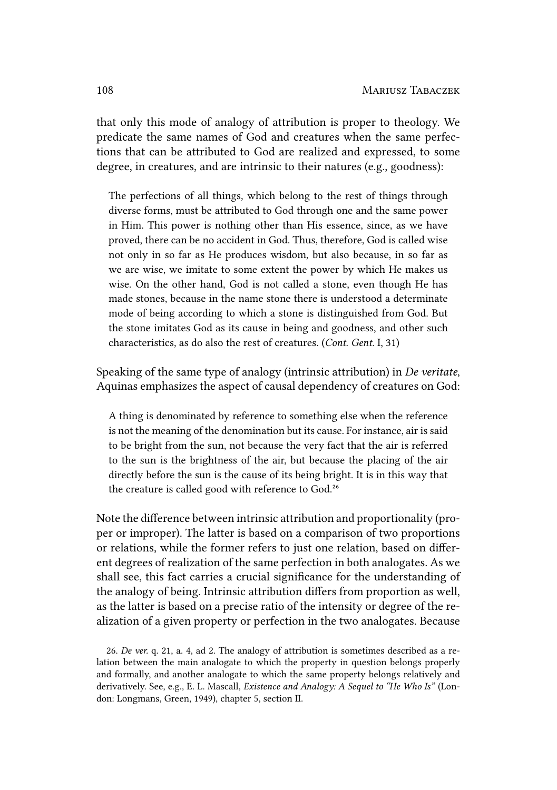that only this mode of analogy of attribution is proper to theology. We predicate the same names of God and creatures when the same perfections that can be attributed to God are realized and expressed, to some degree, in creatures, and are intrinsic to their natures (e.g., goodness):

The perfections of all things, which belong to the rest of things through diverse forms, must be attributed to God through one and the same power in Him. This power is nothing other than His essence, since, as we have proved, there can be no accident in God. Thus, therefore, God is called wise not only in so far as He produces wisdom, but also because, in so far as we are wise, we imitate to some extent the power by which He makes us wise. On the other hand, God is not called a stone, even though He has made stones, because in the name stone there is understood a determinate mode of being according to which a stone is distinguished from God. But the stone imitates God as its cause in being and goodness, and other such characteristics, as do also the rest of creatures. (*Cont. Gent.* I, 31)

Speaking of the same type of analogy (intrinsic attribution) in *De veritate*, Aquinas emphasizes the aspect of causal dependency of creatures on God:

A thing is denominated by reference to something else when the reference is not the meaning of the denomination but its cause. For instance, air is said to be bright from the sun, not because the very fact that the air is referred to the sun is the brightness of the air, but because the placing of the air directly before the sun is the cause of its being bright. It is in this way that the creature is called good with reference to God.<sup>26</sup>

Note the difference between intrinsic attribution and proportionality (proper or improper). The latter is based on a comparison of two proportions or relations, while the former refers to just one relation, based on different degrees of realization of the same perfection in both analogates. As we shall see, this fact carries a crucial significance for the understanding of the analogy of being. Intrinsic attribution differs from proportion as well, as the latter is based on a precise ratio of the intensity or degree of the realization of a given property or perfection in the two analogates. Because

<sup>26.</sup> *De ver.* q. 21, a. 4, ad 2. The analogy of attribution is sometimes described as a relation between the main analogate to which the property in question belongs properly and formally, and another analogate to which the same property belongs relatively and derivatively. See, e.g., E. L. Mascall, *Existence and Analogy: A Sequel to "He Who Is"* (London: Longmans, Green, 1949), chapter 5, section II.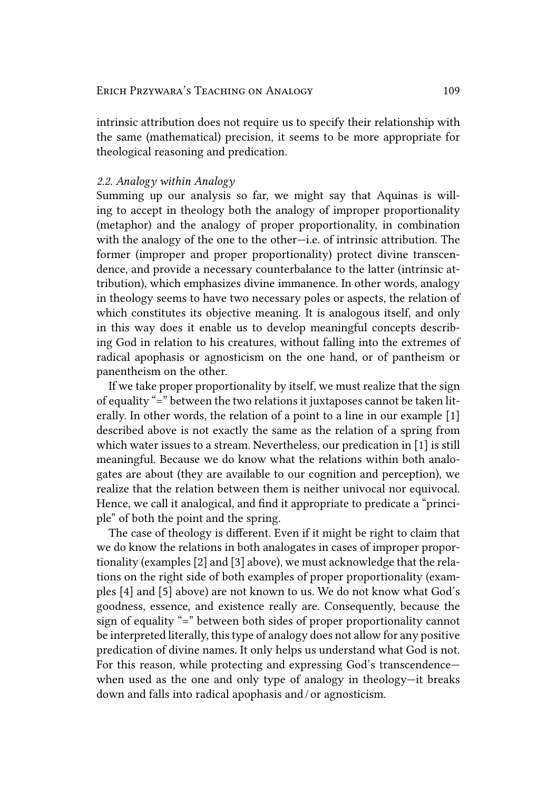intrinsic attribution does not require us to specify their relationship with the same (mathematical) precision, it seems to be more appropriate for theological reasoning and predication.

#### *2.2. Analogy within Analogy*

Summing up our analysis so far, we might say that Aquinas is willing to accept in theology both the analogy of improper proportionality (metaphor) and the analogy of proper proportionality, in combination with the analogy of the one to the other—i.e. of intrinsic attribution. The former (improper and proper proportionality) protect divine transcendence, and provide a necessary counterbalance to the latter (intrinsic attribution), which emphasizes divine immanence. In other words, analogy in theology seems to have two necessary poles or aspects, the relation of which constitutes its objective meaning. It is analogous itself, and only in this way does it enable us to develop meaningful concepts describing God in relation to his creatures, without falling into the extremes of radical apophasis or agnosticism on the one hand, or of pantheism or panentheism on the other.

If we take proper proportionality by itself, we must realize that the sign of equality "=" between the two relations it juxtaposes cannot be taken literally. In other words, the relation of a point to a line in our example [1] described above is not exactly the same as the relation of a spring from which water issues to a stream. Nevertheless, our predication in [1] is still meaningful. Because we do know what the relations within both analogates are about (they are available to our cognition and perception), we realize that the relation between them is neither univocal nor equivocal. Hence, we call it analogical, and find it appropriate to predicate a "principle" of both the point and the spring.

The case of theology is different. Even if it might be right to claim that we do know the relations in both analogates in cases of improper proportionality (examples [2] and [3] above), we must acknowledge that the relations on the right side of both examples of proper proportionality (examples [4] and [5] above) are not known to us. We do not know what God's goodness, essence, and existence really are. Consequently, because the sign of equality "=" between both sides of proper proportionality cannot be interpreted literally, this type of analogy does not allow for any positive predication of divine names. It only helps us understand what God is not. For this reason, while protecting and expressing God's transcendence when used as the one and only type of analogy in theology—it breaks down and falls into radical apophasis and / or agnosticism.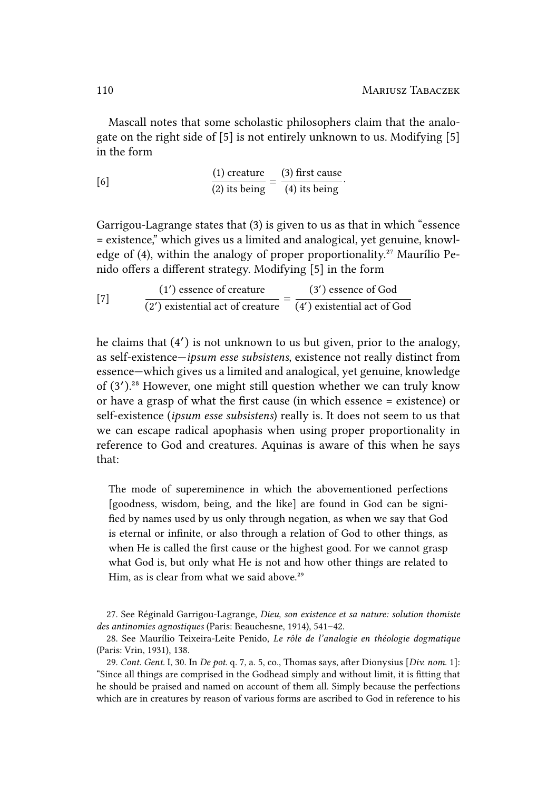Mascall notes that some scholastic philosophers claim that the analogate on the right side of [5] is not entirely unknown to us. Modifying [5] in the form

[6]  $\frac{(1) \text{ create}}{(2) \text{ its being}} = \frac{(3) \text{ first cause}}{(4) \text{ its being}}$ (4) its being .

Garrigou-Lagrange states that (3) is given to us as that in which "essence = existence," which gives us a limited and analogical, yet genuine, knowledge of (4), within the analogy of proper proportionality.<sup>27</sup> Maurílio Penido offers a different strategy. Modifying [5] in the form

[7] 
$$
\frac{(1') \text{ essence of creative}}{(2') \text{ existential act of creative}} = \frac{(3') \text{ essence of God}}{(4') \text{ existential act of God}}
$$

he claims that (4′ ) is not unknown to us but given, prior to the analogy, as self-existence—*ipsum esse subsistens*, existence not really distinct from essence—which gives us a limited and analogical, yet genuine, knowledge of (3').<sup>28</sup> However, one might still question whether we can truly know or have a grasp of what the first cause (in which essence = existence) or self-existence (*ipsum esse subsistens*) really is. It does not seem to us that we can escape radical apophasis when using proper proportionality in reference to God and creatures. Aquinas is aware of this when he says that:

The mode of supereminence in which the abovementioned perfections [goodness, wisdom, being, and the like] are found in God can be signified by names used by us only through negation, as when we say that God is eternal or infinite, or also through a relation of God to other things, as when He is called the first cause or the highest good. For we cannot grasp what God is, but only what He is not and how other things are related to Him, as is clear from what we said above.<sup>29</sup>

27. See Réginald Garrigou-Lagrange, *Dieu, son existence et sa nature: solution thomiste des antinomies agnostiques* (Paris: Beauchesne, 1914), 541–42.

<sup>28.</sup> See Maurílio Teixeira-Leite Penido, *Le rôle de l'analogie en théologie dogmatique* (Paris: Vrin, 1931), 138.

<sup>29.</sup> *Cont. Gent.* I, 30. In *De pot*. q. 7, a. 5, co., Thomas says, after Dionysius [*Div. nom*. 1]: "Since all things are comprised in the Godhead simply and without limit, it is fitting that he should be praised and named on account of them all. Simply because the perfections which are in creatures by reason of various forms are ascribed to God in reference to his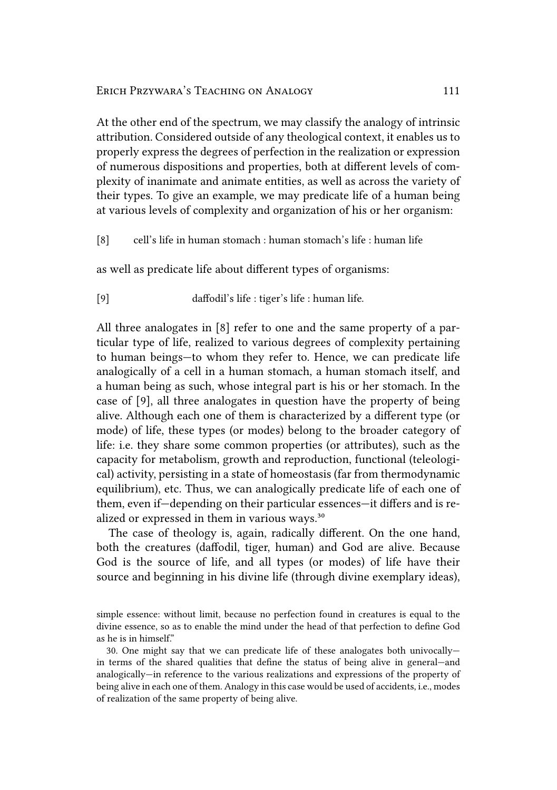At the other end of the spectrum, we may classify the analogy of intrinsic attribution. Considered outside of any theological context, it enables us to properly express the degrees of perfection in the realization or expression of numerous dispositions and properties, both at different levels of complexity of inanimate and animate entities, as well as across the variety of their types. To give an example, we may predicate life of a human being at various levels of complexity and organization of his or her organism:

[8] cell's life in human stomach : human stomach's life : human life

as well as predicate life about different types of organisms:

[9] daffodil's life : tiger's life : human life.

All three analogates in [8] refer to one and the same property of a particular type of life, realized to various degrees of complexity pertaining to human beings—to whom they refer to. Hence, we can predicate life analogically of a cell in a human stomach, a human stomach itself, and a human being as such, whose integral part is his or her stomach. In the case of [9], all three analogates in question have the property of being alive. Although each one of them is characterized by a different type (or mode) of life, these types (or modes) belong to the broader category of life: i.e. they share some common properties (or attributes), such as the capacity for metabolism, growth and reproduction, functional (teleological) activity, persisting in a state of homeostasis (far from thermodynamic equilibrium), etc. Thus, we can analogically predicate life of each one of them, even if—depending on their particular essences—it differs and is realized or expressed in them in various ways.<sup>30</sup>

The case of theology is, again, radically different. On the one hand, both the creatures (daffodil, tiger, human) and God are alive. Because God is the source of life, and all types (or modes) of life have their source and beginning in his divine life (through divine exemplary ideas),

simple essence: without limit, because no perfection found in creatures is equal to the divine essence, so as to enable the mind under the head of that perfection to define God as he is in himself."

<sup>30.</sup> One might say that we can predicate life of these analogates both univocally in terms of the shared qualities that define the status of being alive in general—and analogically—in reference to the various realizations and expressions of the property of being alive in each one of them. Analogy in this case would be used of accidents, i.e., modes of realization of the same property of being alive.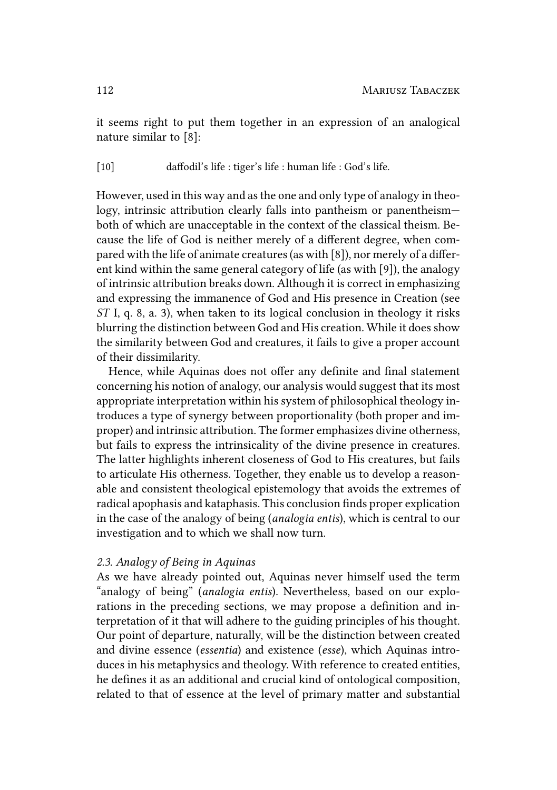it seems right to put them together in an expression of an analogical nature similar to [8]:

[10] daffodil's life : tiger's life : human life : God's life.

However, used in this way and as the one and only type of analogy in theology, intrinsic attribution clearly falls into pantheism or panentheism both of which are unacceptable in the context of the classical theism. Because the life of God is neither merely of a different degree, when compared with the life of animate creatures (as with [8]), nor merely of a different kind within the same general category of life (as with [9]), the analogy of intrinsic attribution breaks down. Although it is correct in emphasizing and expressing the immanence of God and His presence in Creation (see *ST* I, q. 8, a. 3), when taken to its logical conclusion in theology it risks blurring the distinction between God and His creation. While it does show the similarity between God and creatures, it fails to give a proper account of their dissimilarity.

Hence, while Aquinas does not offer any definite and final statement concerning his notion of analogy, our analysis would suggest that its most appropriate interpretation within his system of philosophical theology introduces a type of synergy between proportionality (both proper and improper) and intrinsic attribution. The former emphasizes divine otherness, but fails to express the intrinsicality of the divine presence in creatures. The latter highlights inherent closeness of God to His creatures, but fails to articulate His otherness. Together, they enable us to develop a reasonable and consistent theological epistemology that avoids the extremes of radical apophasis and kataphasis. This conclusion finds proper explication in the case of the analogy of being (*analogia entis*), which is central to our investigation and to which we shall now turn.

#### *2.3. Analogy of Being in Aquinas*

As we have already pointed out, Aquinas never himself used the term "analogy of being" (*analogia entis*). Nevertheless, based on our explorations in the preceding sections, we may propose a definition and interpretation of it that will adhere to the guiding principles of his thought. Our point of departure, naturally, will be the distinction between created and divine essence (*essentia*) and existence (*esse*), which Aquinas introduces in his metaphysics and theology. With reference to created entities, he defines it as an additional and crucial kind of ontological composition, related to that of essence at the level of primary matter and substantial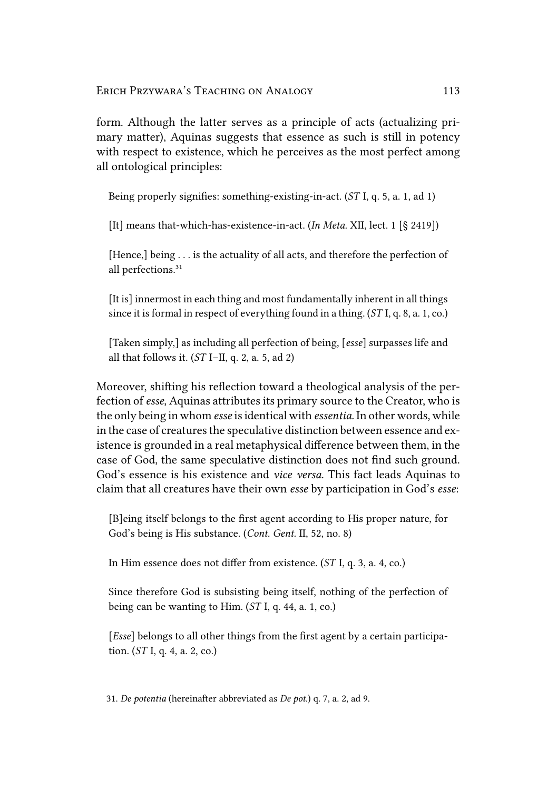form. Although the latter serves as a principle of acts (actualizing primary matter), Aquinas suggests that essence as such is still in potency with respect to existence, which he perceives as the most perfect among all ontological principles:

Being properly signifies: something-existing-in-act. (*ST* I, q. 5, a. 1, ad 1)

[It] means that-which-has-existence-in-act. (*In Meta*. XII, lect. 1 [§ 2419])

[Hence,] being . . . is the actuality of all acts, and therefore the perfection of all perfections.<sup>31</sup>

[It is] innermost in each thing and most fundamentally inherent in all things since it is formal in respect of everything found in a thing. (*ST* I, q. 8, a. 1, co.)

[Taken simply,] as including all perfection of being, [*esse*] surpasses life and all that follows it. (*ST* I–II, q. 2, a. 5, ad 2)

Moreover, shifting his reflection toward a theological analysis of the perfection of *esse*, Aquinas attributes its primary source to the Creator, who is the only being in whom *esse* is identical with *essentia*. In other words, while in the case of creatures the speculative distinction between essence and existence is grounded in a real metaphysical difference between them, in the case of God, the same speculative distinction does not find such ground. God's essence is his existence and *vice versa*. This fact leads Aquinas to claim that all creatures have their own *esse* by participation in God's *esse*:

[B]eing itself belongs to the first agent according to His proper nature, for God's being is His substance. (*Cont. Gent.* II, 52, no. 8)

In Him essence does not differ from existence. (*ST* I, q. 3, a. 4, co.)

Since therefore God is subsisting being itself, nothing of the perfection of being can be wanting to Him. (*ST* I, q. 44, a. 1, co.)

[*Esse*] belongs to all other things from the first agent by a certain participation. (*ST* I, q. 4, a. 2, co.)

31. *De potentia* (hereinafter abbreviated as *De pot.*) q. 7, a. 2, ad 9.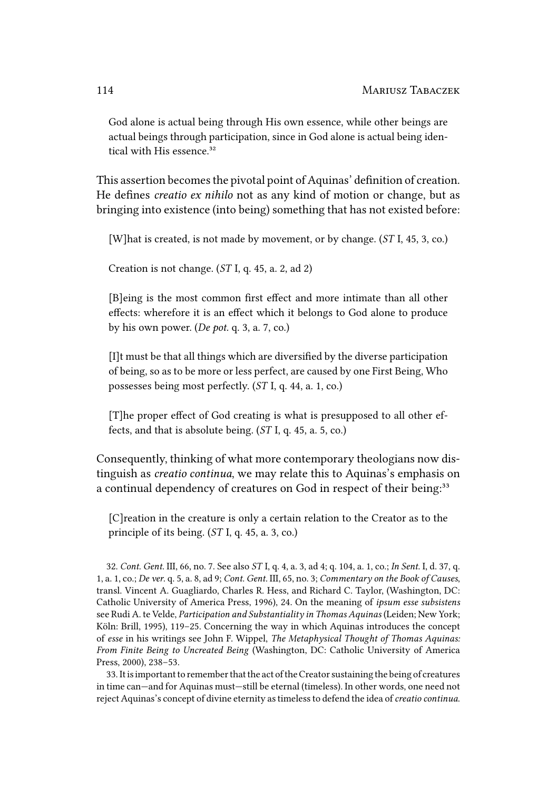God alone is actual being through His own essence, while other beings are actual beings through participation, since in God alone is actual being identical with His essence.<sup>32</sup>

This assertion becomes the pivotal point of Aquinas' definition of creation. He defines *creatio ex nihilo* not as any kind of motion or change, but as bringing into existence (into being) something that has not existed before:

[W]hat is created, is not made by movement, or by change. (*ST* I, 45, 3, co.)

Creation is not change. (*ST* I, q. 45, a. 2, ad 2)

[B]eing is the most common first effect and more intimate than all other effects: wherefore it is an effect which it belongs to God alone to produce by his own power. (*De pot.* q. 3, a. 7, co.)

[I]t must be that all things which are diversified by the diverse participation of being, so as to be more or less perfect, are caused by one First Being, Who possesses being most perfectly. (*ST* I, q. 44, a. 1, co.)

[T]he proper effect of God creating is what is presupposed to all other effects, and that is absolute being. (*ST* I, q. 45, a. 5, co.)

Consequently, thinking of what more contemporary theologians now distinguish as *creatio continua*, we may relate this to Aquinas's emphasis on a continual dependency of creatures on God in respect of their being:<sup>33</sup>

[C]reation in the creature is only a certain relation to the Creator as to the principle of its being. (*ST* I, q. 45, a. 3, co.)

32. *Cont. Gent.* III, 66, no. 7. See also *ST* I, q. 4, a. 3, ad 4; q. 104, a. 1, co.; *In Sent*. I, d. 37, q. 1, a. 1, co.; *De ver*. q. 5, a. 8, ad 9; *Cont. Gent.* III, 65, no. 3; *Commentary on the Book of Causes*, transl. Vincent A. Guagliardo, Charles R. Hess, and Richard C. Taylor, (Washington, DC: Catholic University of America Press, 1996), 24. On the meaning of *ipsum esse subsistens* see Rudi A. te Velde, *Participation and Substantiality in Thomas Aquinas* (Leiden; New York; Köln: Brill, 1995), 119–25. Concerning the way in which Aquinas introduces the concept of *esse* in his writings see John F. Wippel, *The Metaphysical Thought of Thomas Aquinas: From Finite Being to Uncreated Being* (Washington, DC: Catholic University of America Press, 2000), 238–53.

33. Itisimportant to remember that the act of the Creator sustaining the being of creatures in time can—and for Aquinas must—still be eternal (timeless). In other words, one need not reject Aquinas's concept of divine eternity as timeless to defend the idea of*creatio continua*.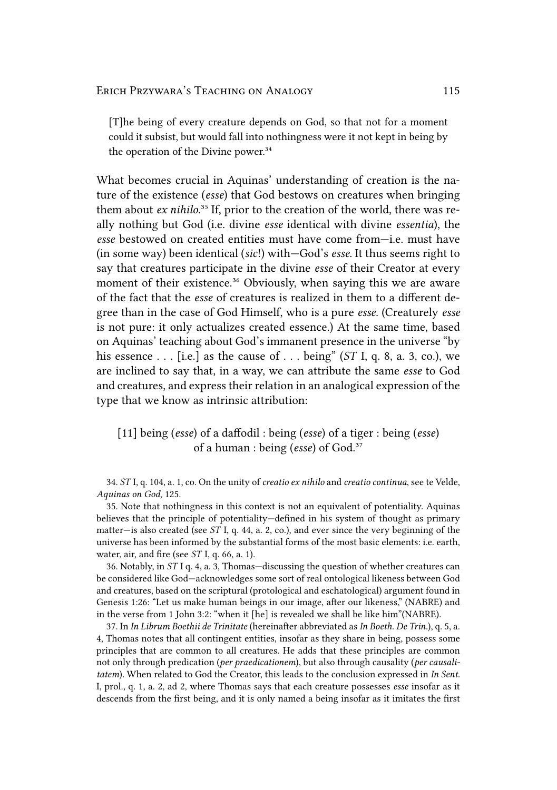[T]he being of every creature depends on God, so that not for a moment could it subsist, but would fall into nothingness were it not kept in being by the operation of the Divine power.<sup>34</sup>

What becomes crucial in Aquinas' understanding of creation is the nature of the existence (*esse*) that God bestows on creatures when bringing them about *ex nihilo*.<sup>35</sup> If, prior to the creation of the world, there was really nothing but God (i.e. divine *esse* identical with divine *essentia*), the *esse* bestowed on created entities must have come from—i.e. must have (in some way) been identical (*sic*!) with—God's *esse*. It thus seems right to say that creatures participate in the divine *esse* of their Creator at every moment of their existence.<sup>36</sup> Obviously, when saying this we are aware of the fact that the *esse* of creatures is realized in them to a different degree than in the case of God Himself, who is a pure *esse*. (Creaturely *esse* is not pure: it only actualizes created essence.) At the same time, based on Aquinas' teaching about God's immanent presence in the universe "by his essence . . . [i.e.] as the cause of . . . being" (*ST* I, q. 8, a. 3, co.), we are inclined to say that, in a way, we can attribute the same *esse* to God and creatures, and express their relation in an analogical expression of the type that we know as intrinsic attribution:

[11] being (*esse*) of a daffodil : being (*esse*) of a tiger : being (*esse*) of a human : being (*esse*) of God.<sup>37</sup>

34. *ST* I, q. 104, a. 1, co. On the unity of *creatio ex nihilo* and *creatio continua*, see te Velde, *Aquinas on God*, 125.

35. Note that nothingness in this context is not an equivalent of potentiality. Aquinas believes that the principle of potentiality—defined in his system of thought as primary matter—is also created (see *ST* I, q. 44, a. 2, co.), and ever since the very beginning of the universe has been informed by the substantial forms of the most basic elements: i.e. earth, water, air, and fire (see *ST* I, q. 66, a. 1).

36. Notably, in *ST* I q. 4, a. 3, Thomas—discussing the question of whether creatures can be considered like God—acknowledges some sort of real ontological likeness between God and creatures, based on the scriptural (protological and eschatological) argument found in Genesis 1:26: "Let us make human beings in our image, after our likeness," (NABRE) and in the verse from 1 John 3:2: "when it [he] is revealed we shall be like him"(NABRE).

37. In *In Librum Boethii de Trinitate* (hereinafter abbreviated as *In Boeth. De Trin.*), q. 5, a. 4, Thomas notes that all contingent entities, insofar as they share in being, possess some principles that are common to all creatures. He adds that these principles are common not only through predication (*per praedicationem*), but also through causality (*per causalitatem*). When related to God the Creator, this leads to the conclusion expressed in *In Sent.* I, prol., q. 1, a. 2, ad 2, where Thomas says that each creature possesses *esse* insofar as it descends from the first being, and it is only named a being insofar as it imitates the first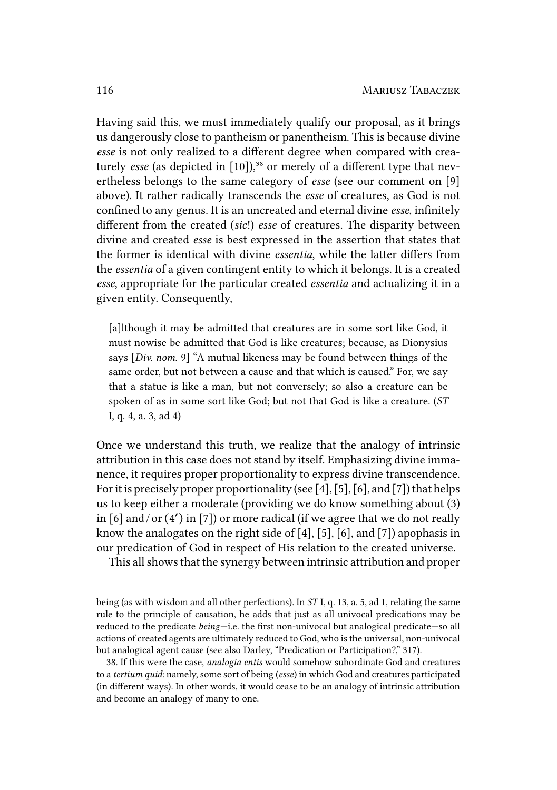Having said this, we must immediately qualify our proposal, as it brings us dangerously close to pantheism or panentheism. This is because divine *esse* is not only realized to a different degree when compared with creaturely *esse* (as depicted in [10]),<sup>38</sup> or merely of a different type that nevertheless belongs to the same category of *esse* (see our comment on [9] above). It rather radically transcends the *esse* of creatures, as God is not confined to any genus. It is an uncreated and eternal divine *esse*, infinitely different from the created (*sic*!) *esse* of creatures. The disparity between divine and created *esse* is best expressed in the assertion that states that the former is identical with divine *essentia*, while the latter differs from the *essentia* of a given contingent entity to which it belongs. It is a created *esse*, appropriate for the particular created *essentia* and actualizing it in a given entity. Consequently,

[a]lthough it may be admitted that creatures are in some sort like God, it must nowise be admitted that God is like creatures; because, as Dionysius says [*Div. nom*. 9] "A mutual likeness may be found between things of the same order, but not between a cause and that which is caused." For, we say that a statue is like a man, but not conversely; so also a creature can be spoken of as in some sort like God; but not that God is like a creature. (*ST* I, q. 4, a. 3, ad 4)

Once we understand this truth, we realize that the analogy of intrinsic attribution in this case does not stand by itself. Emphasizing divine immanence, it requires proper proportionality to express divine transcendence. For it is precisely proper proportionality (see [4], [5], [6], and [7]) that helps us to keep either a moderate (providing we do know something about (3) in [6] and / or (4′ ) in [7]) or more radical (if we agree that we do not really know the analogates on the right side of [4], [5], [6], and [7]) apophasis in our predication of God in respect of His relation to the created universe.

This all shows that the synergy between intrinsic attribution and proper

being (as with wisdom and all other perfections). In *ST* I, q. 13, a. 5, ad 1, relating the same rule to the principle of causation, he adds that just as all univocal predications may be reduced to the predicate *being*—i.e. the first non-univocal but analogical predicate—so all actions of created agents are ultimately reduced to God, who is the universal, non-univocal but analogical agent cause (see also Darley, "Predication or Participation?," 317).

38. If this were the case, *analogia entis* would somehow subordinate God and creatures to a *tertium quid*: namely, some sort of being (*esse*) in which God and creatures participated (in different ways). In other words, it would cease to be an analogy of intrinsic attribution and become an analogy of many to one.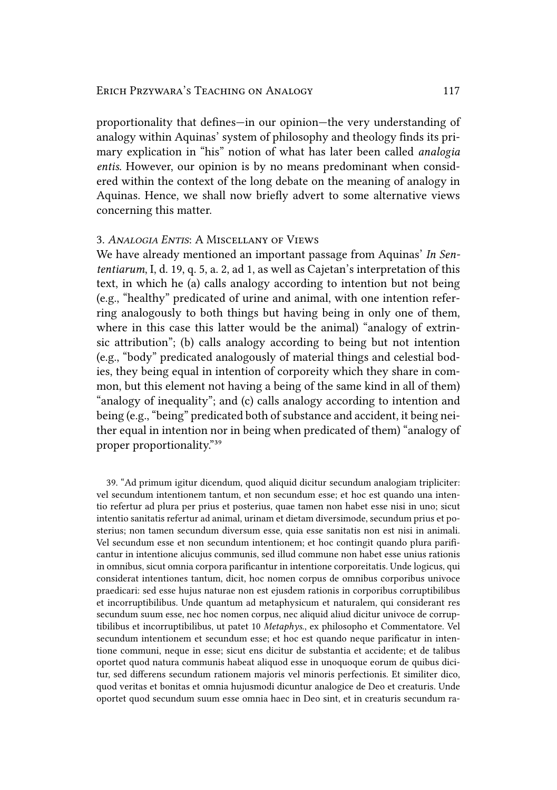proportionality that defines—in our opinion—the very understanding of analogy within Aquinas' system of philosophy and theology finds its primary explication in "his" notion of what has later been called *analogia entis*. However, our opinion is by no means predominant when considered within the context of the long debate on the meaning of analogy in Aquinas. Hence, we shall now briefly advert to some alternative views concerning this matter.

# 3. *ANALOGIA ENTIS*: A MISCELLANY OF VIEWS

We have already mentioned an important passage from Aquinas' *In Sententiarum*, I, d. 19, q. 5, a. 2, ad 1, as well as Cajetan's interpretation of this text, in which he (a) calls analogy according to intention but not being (e.g., "healthy" predicated of urine and animal, with one intention referring analogously to both things but having being in only one of them, where in this case this latter would be the animal) "analogy of extrinsic attribution"; (b) calls analogy according to being but not intention (e.g., "body" predicated analogously of material things and celestial bodies, they being equal in intention of corporeity which they share in common, but this element not having a being of the same kind in all of them) "analogy of inequality"; and (c) calls analogy according to intention and being (e.g., "being" predicated both of substance and accident, it being neither equal in intention nor in being when predicated of them) "analogy of proper proportionality."39

39. "Ad primum igitur dicendum, quod aliquid dicitur secundum analogiam tripliciter: vel secundum intentionem tantum, et non secundum esse; et hoc est quando una intentio refertur ad plura per prius et posterius, quae tamen non habet esse nisi in uno; sicut intentio sanitatis refertur ad animal, urinam et dietam diversimode, secundum prius et posterius; non tamen secundum diversum esse, quia esse sanitatis non est nisi in animali. Vel secundum esse et non secundum intentionem; et hoc contingit quando plura parificantur in intentione alicujus communis, sed illud commune non habet esse unius rationis in omnibus, sicut omnia corpora parificantur in intentione corporeitatis. Unde logicus, qui considerat intentiones tantum, dicit, hoc nomen corpus de omnibus corporibus univoce praedicari: sed esse hujus naturae non est ejusdem rationis in corporibus corruptibilibus et incorruptibilibus. Unde quantum ad metaphysicum et naturalem, qui considerant res secundum suum esse, nec hoc nomen corpus, nec aliquid aliud dicitur univoce de corruptibilibus et incorruptibilibus, ut patet 10 *Metaphys*., ex philosopho et Commentatore. Vel secundum intentionem et secundum esse; et hoc est quando neque parificatur in intentione communi, neque in esse; sicut ens dicitur de substantia et accidente; et de talibus oportet quod natura communis habeat aliquod esse in unoquoque eorum de quibus dicitur, sed differens secundum rationem majoris vel minoris perfectionis. Et similiter dico, quod veritas et bonitas et omnia hujusmodi dicuntur analogice de Deo et creaturis. Unde oportet quod secundum suum esse omnia haec in Deo sint, et in creaturis secundum ra-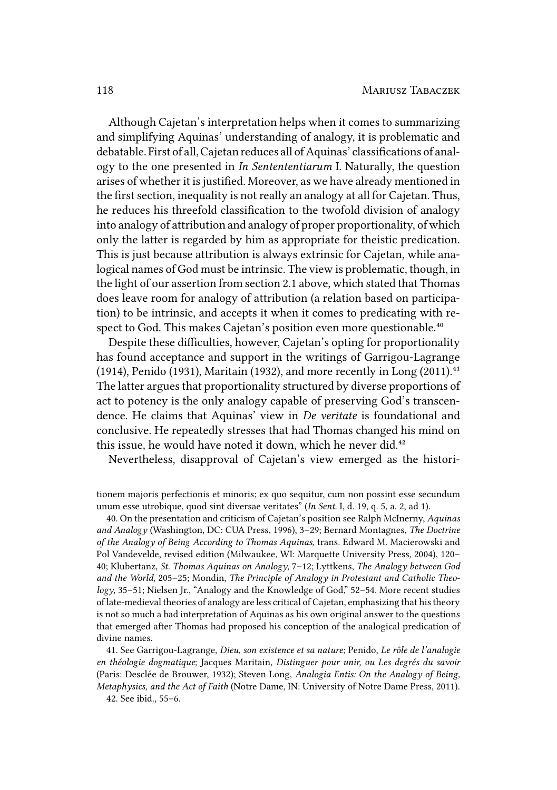Although Cajetan's interpretation helps when it comes to summarizing and simplifying Aquinas' understanding of analogy, it is problematic and debatable. First of all, Cajetan reduces all of Aquinas' classifications of analogy to the one presented in *In Sentententiarum* I. Naturally, the question arises of whether it is justified. Moreover, as we have already mentioned in the first section, inequality is not really an analogy at all for Cajetan. Thus, he reduces his threefold classification to the twofold division of analogy into analogy of attribution and analogy of proper proportionality, of which only the latter is regarded by him as appropriate for theistic predication. This is just because attribution is always extrinsic for Cajetan, while analogical names of God must be intrinsic. The view is problematic, though, in the light of our assertion from section 2.1 above, which stated that Thomas does leave room for analogy of attribution (a relation based on participation) to be intrinsic, and accepts it when it comes to predicating with respect to God. This makes Cajetan's position even more questionable.<sup>40</sup>

Despite these difficulties, however, Cajetan's opting for proportionality has found acceptance and support in the writings of Garrigou-Lagrange (1914), Penido (1931), Maritain (1932), and more recently in Long (2011). $41$ The latter argues that proportionality structured by diverse proportions of act to potency is the only analogy capable of preserving God's transcendence. He claims that Aquinas' view in *De veritate* is foundational and conclusive. He repeatedly stresses that had Thomas changed his mind on this issue, he would have noted it down, which he never did.<sup>42</sup>

Nevertheless, disapproval of Cajetan's view emerged as the histori-

tionem majoris perfectionis et minoris; ex quo sequitur, cum non possint esse secundum unum esse utrobique, quod sint diversae veritates" (*In Sent.* I, d. 19, q. 5, a. 2, ad 1).

40. On the presentation and criticism of Cajetan's position see Ralph McInerny, *Aquinas and Analogy* (Washington, DC: CUA Press, 1996), 3–29; Bernard Montagnes, *The Doctrine of the Analogy of Being According to Thomas Aquinas*, trans. Edward M. Macierowski and Pol Vandevelde, revised edition (Milwaukee, WI: Marquette University Press, 2004), 120– 40; Klubertanz, *St. Thomas Aquinas on Analogy*, 7–12; Lyttkens, *The Analogy between God and the World*, 205–25; Mondin, *The Principle of Analogy in Protestant and Catholic Theology*, 35–51; Nielsen Jr., "Analogy and the Knowledge of God," 52–54. More recent studies of late-medieval theories of analogy are less critical of Cajetan, emphasizing that his theory is not so much a bad interpretation of Aquinas as his own original answer to the questions that emerged after Thomas had proposed his conception of the analogical predication of divine names.

41. See Garrigou-Lagrange, *Dieu, son existence et sa nature*; Penido, *Le rôle de l'analogie en théologie dogmatique*; Jacques Maritain, *Distinguer pour unir, ou Les degrés du savoir* (Paris: Desclée de Brouwer, 1932); Steven Long, *Analogia Entis: On the Analogy of Being, Metaphysics, and the Act of Faith* (Notre Dame, IN: University of Notre Dame Press, 2011). 42. See ibid., 55–6.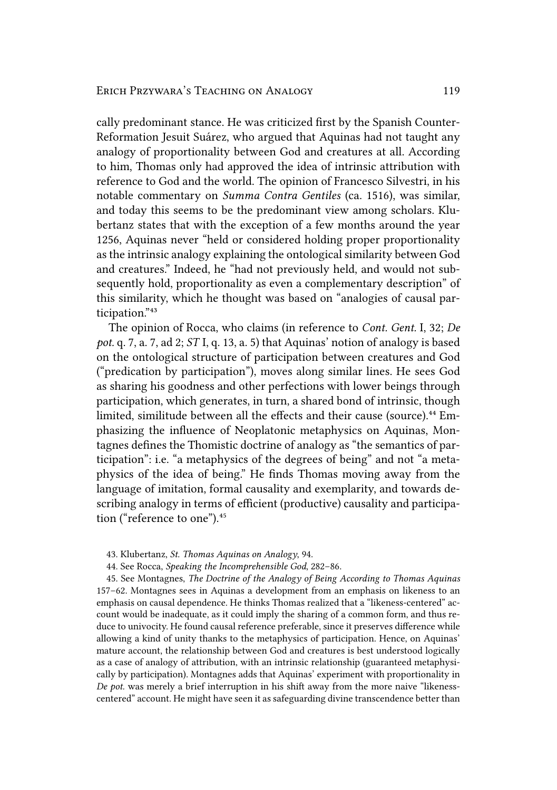cally predominant stance. He was criticized first by the Spanish Counter-Reformation Jesuit Suárez, who argued that Aquinas had not taught any analogy of proportionality between God and creatures at all. According to him, Thomas only had approved the idea of intrinsic attribution with reference to God and the world. The opinion of Francesco Silvestri, in his notable commentary on *Summa Contra Gentiles* (ca. 1516), was similar, and today this seems to be the predominant view among scholars. Klubertanz states that with the exception of a few months around the year 1256, Aquinas never "held or considered holding proper proportionality as the intrinsic analogy explaining the ontological similarity between God and creatures." Indeed, he "had not previously held, and would not subsequently hold, proportionality as even a complementary description" of this similarity, which he thought was based on "analogies of causal participation."43

The opinion of Rocca, who claims (in reference to *Cont. Gent.* I, 32; *De pot.* q. 7, a. 7, ad 2; *ST* I, q. 13, a. 5) that Aquinas' notion of analogy is based on the ontological structure of participation between creatures and God ("predication by participation"), moves along similar lines. He sees God as sharing his goodness and other perfections with lower beings through participation, which generates, in turn, a shared bond of intrinsic, though limited, similitude between all the effects and their cause (source).<sup>44</sup> Emphasizing the influence of Neoplatonic metaphysics on Aquinas, Montagnes defines the Thomistic doctrine of analogy as "the semantics of participation": i.e. "a metaphysics of the degrees of being" and not "a metaphysics of the idea of being." He finds Thomas moving away from the language of imitation, formal causality and exemplarity, and towards describing analogy in terms of efficient (productive) causality and participation ("reference to one").<sup>45</sup>

- 43. Klubertanz, *St. Thomas Aquinas on Analogy*, 94.
- 44. See Rocca, *Speaking the Incomprehensible God*, 282–86.

45. See Montagnes, *The Doctrine of the Analogy of Being According to Thomas Aquinas* 157–62. Montagnes sees in Aquinas a development from an emphasis on likeness to an emphasis on causal dependence. He thinks Thomas realized that a "likeness-centered" account would be inadequate, as it could imply the sharing of a common form, and thus reduce to univocity. He found causal reference preferable, since it preserves difference while allowing a kind of unity thanks to the metaphysics of participation. Hence, on Aquinas' mature account, the relationship between God and creatures is best understood logically as a case of analogy of attribution, with an intrinsic relationship (guaranteed metaphysically by participation). Montagnes adds that Aquinas' experiment with proportionality in *De pot.* was merely a brief interruption in his shift away from the more naive "likenesscentered" account. He might have seen it as safeguarding divine transcendence better than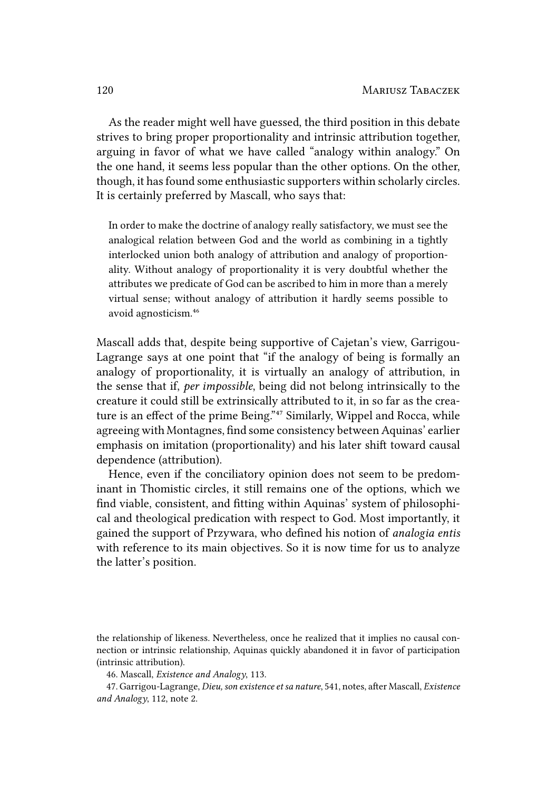As the reader might well have guessed, the third position in this debate strives to bring proper proportionality and intrinsic attribution together, arguing in favor of what we have called "analogy within analogy." On the one hand, it seems less popular than the other options. On the other, though, it has found some enthusiastic supporters within scholarly circles. It is certainly preferred by Mascall, who says that:

In order to make the doctrine of analogy really satisfactory, we must see the analogical relation between God and the world as combining in a tightly interlocked union both analogy of attribution and analogy of proportionality. Without analogy of proportionality it is very doubtful whether the attributes we predicate of God can be ascribed to him in more than a merely virtual sense; without analogy of attribution it hardly seems possible to avoid agnosticism.<sup>46</sup>

Mascall adds that, despite being supportive of Cajetan's view, Garrigou-Lagrange says at one point that "if the analogy of being is formally an analogy of proportionality, it is virtually an analogy of attribution, in the sense that if, *per impossible*, being did not belong intrinsically to the creature it could still be extrinsically attributed to it, in so far as the creature is an effect of the prime Being."<sup>47</sup> Similarly, Wippel and Rocca, while agreeing with Montagnes, find some consistency between Aquinas' earlier emphasis on imitation (proportionality) and his later shift toward causal dependence (attribution).

Hence, even if the conciliatory opinion does not seem to be predominant in Thomistic circles, it still remains one of the options, which we find viable, consistent, and fitting within Aquinas' system of philosophical and theological predication with respect to God. Most importantly, it gained the support of Przywara, who defined his notion of *analogia entis* with reference to its main objectives. So it is now time for us to analyze the latter's position.

the relationship of likeness. Nevertheless, once he realized that it implies no causal connection or intrinsic relationship, Aquinas quickly abandoned it in favor of participation (intrinsic attribution).

<sup>46.</sup> Mascall, *Existence and Analogy*, 113.

<sup>47.</sup> Garrigou-Lagrange, *Dieu, son existence et sa nature*, 541, notes, after Mascall, *Existence and Analogy*, 112, note 2.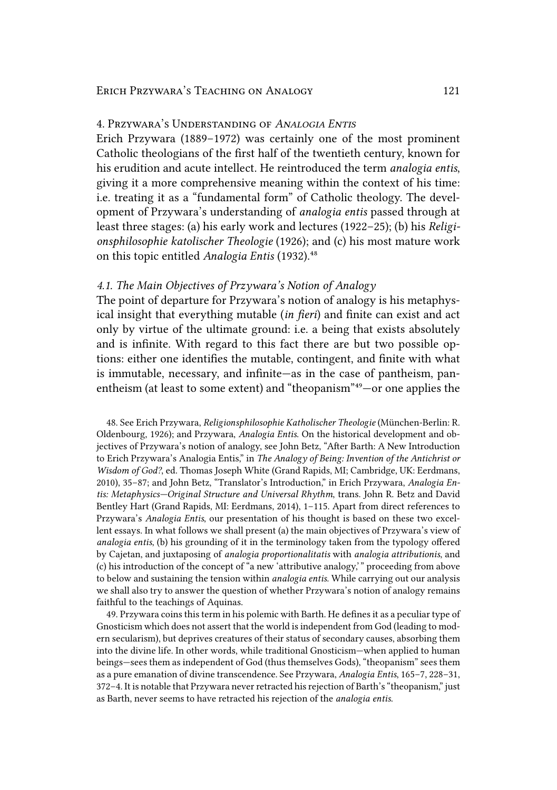# 4. PRZYWARA'S UNDERSTANDING OF *ANALOGIA ENTIS*

Erich Przywara (1889–1972) was certainly one of the most prominent Catholic theologians of the first half of the twentieth century, known for his erudition and acute intellect. He reintroduced the term *analogia entis*, giving it a more comprehensive meaning within the context of his time: i.e. treating it as a "fundamental form" of Catholic theology. The development of Przywara's understanding of *analogia entis* passed through at least three stages: (a) his early work and lectures (1922–25); (b) his *Religionsphilosophie katolischer Theologie* (1926); and (c) his most mature work on this topic entitled *Analogia Entis* (1932).<sup>48</sup>

# *4.1. The Main Objectives of Przywara's Notion of Analogy*

The point of departure for Przywara's notion of analogy is his metaphysical insight that everything mutable (*in fieri*) and finite can exist and act only by virtue of the ultimate ground: i.e. a being that exists absolutely and is infinite. With regard to this fact there are but two possible options: either one identifies the mutable, contingent, and finite with what is immutable, necessary, and infinite—as in the case of pantheism, panentheism (at least to some extent) and "theopanism"<sup>49</sup> $-$ or one applies the

48. See Erich Przywara, *Religionsphilosophie Katholischer Theologie* (München-Berlin: R. Oldenbourg, 1926); and Przywara, *Analogia Entis*. On the historical development and objectives of Przywara's notion of analogy, see John Betz, "After Barth: A New Introduction to Erich Przywara's Analogia Entis," in *The Analogy of Being: Invention of the Antichrist or Wisdom of God?*, ed. Thomas Joseph White (Grand Rapids, MI; Cambridge, UK: Eerdmans, 2010), 35–87; and John Betz, "Translator's Introduction," in Erich Przywara, *Analogia Entis: Metaphysics—Original Structure and Universal Rhythm*, trans. John R. Betz and David Bentley Hart (Grand Rapids, MI: Eerdmans, 2014), 1–115. Apart from direct references to Przywara's *Analogia Entis*, our presentation of his thought is based on these two excellent essays. In what follows we shall present (a) the main objectives of Przywara's view of *analogia entis*, (b) his grounding of it in the terminology taken from the typology offered by Cajetan, and juxtaposing of *analogia proportionalitatis* with *analogia attributionis*, and (c) his introduction of the concept of "a new 'attributive analogy,' " proceeding from above to below and sustaining the tension within *analogia entis*. While carrying out our analysis we shall also try to answer the question of whether Przywara's notion of analogy remains faithful to the teachings of Aquinas.

49. Przywara coins this term in his polemic with Barth. He defines it as a peculiar type of Gnosticism which does not assert that the world is independent from God (leading to modern secularism), but deprives creatures of their status of secondary causes, absorbing them into the divine life. In other words, while traditional Gnosticism—when applied to human beings—sees them as independent of God (thus themselves Gods), "theopanism" sees them as a pure emanation of divine transcendence. See Przywara, *Analogia Entis*, 165–7, 228–31, 372–4. It is notable that Przywara never retracted his rejection of Barth's "theopanism," just as Barth, never seems to have retracted his rejection of the *analogia entis*.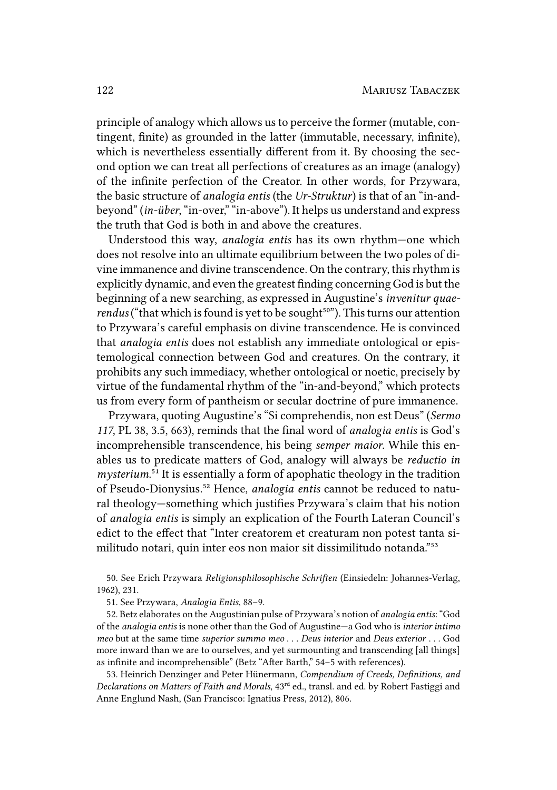principle of analogy which allows us to perceive the former (mutable, contingent, finite) as grounded in the latter (immutable, necessary, infinite), which is nevertheless essentially different from it. By choosing the second option we can treat all perfections of creatures as an image (analogy) of the infinite perfection of the Creator. In other words, for Przywara, the basic structure of *analogia entis* (the *Ur-Struktur*) is that of an "in-andbeyond" (*in-über*, "in-over," "in-above"). It helps us understand and express the truth that God is both in and above the creatures.

Understood this way, *analogia entis* has its own rhythm—one which does not resolve into an ultimate equilibrium between the two poles of divine immanence and divine transcendence. On the contrary, this rhythm is explicitly dynamic, and even the greatest finding concerning God is but the beginning of a new searching, as expressed in Augustine's *invenitur quaerendus* ("that which is found is yet to be sought<sup>50"</sup>). This turns our attention to Przywara's careful emphasis on divine transcendence. He is convinced that *analogia entis* does not establish any immediate ontological or epistemological connection between God and creatures. On the contrary, it prohibits any such immediacy, whether ontological or noetic, precisely by virtue of the fundamental rhythm of the "in-and-beyond," which protects us from every form of pantheism or secular doctrine of pure immanence.

Przywara, quoting Augustine's "Si comprehendis, non est Deus" (*Sermo 117*, PL 38, 3.5, 663), reminds that the final word of *analogia entis* is God's incomprehensible transcendence, his being *semper maior*. While this enables us to predicate matters of God, analogy will always be *reductio in mysterium.*<sup>51</sup> It is essentially a form of apophatic theology in the tradition of Pseudo-Dionysius.⁵² Hence, *analogia entis* cannot be reduced to natural theology—something which justifies Przywara's claim that his notion of *analogia entis* is simply an explication of the Fourth Lateran Council's edict to the effect that "Inter creatorem et creaturam non potest tanta similitudo notari, quin inter eos non maior sit dissimilitudo notanda."<sup>53</sup>

50. See Erich Przywara *Religionsphilosophische Schriften* (Einsiedeln: Johannes-Verlag, 1962), 231.

51. See Przywara, *Analogia Entis*, 88–9.

52. Betz elaborates on the Augustinian pulse of Przywara's notion of *analogia entis*: "God of the *analogia entis* is none other than the God of Augustine—a God who is *interior intimo meo* but at the same time *superior summo meo* . . . *Deus interior* and *Deus exterior* . . . God more inward than we are to ourselves, and yet surmounting and transcending [all things] as infinite and incomprehensible" (Betz "After Barth," 54–5 with references).

53. Heinrich Denzinger and Peter Hünermann, *Compendium of Creeds, Definitions, and Declarations on Matters of Faith and Morals*, 43ʳᵈ ed., transl. and ed. by Robert Fastiggi and Anne Englund Nash, (San Francisco: Ignatius Press, 2012), 806.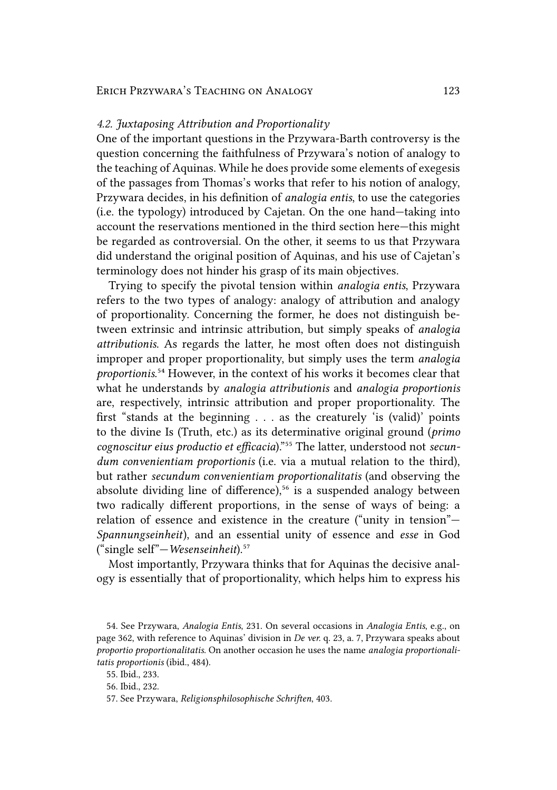#### *4.2. Juxtaposing Attribution and Proportionality*

One of the important questions in the Przywara-Barth controversy is the question concerning the faithfulness of Przywara's notion of analogy to the teaching of Aquinas. While he does provide some elements of exegesis of the passages from Thomas's works that refer to his notion of analogy, Przywara decides, in his definition of *analogia entis*, to use the categories (i.e. the typology) introduced by Cajetan. On the one hand—taking into account the reservations mentioned in the third section here—this might be regarded as controversial. On the other, it seems to us that Przywara did understand the original position of Aquinas, and his use of Cajetan's terminology does not hinder his grasp of its main objectives.

Trying to specify the pivotal tension within *analogia entis*, Przywara refers to the two types of analogy: analogy of attribution and analogy of proportionality. Concerning the former, he does not distinguish between extrinsic and intrinsic attribution, but simply speaks of *analogia attributionis*. As regards the latter, he most often does not distinguish improper and proper proportionality, but simply uses the term *analogia proportionis.*<sup>54</sup> However, in the context of his works it becomes clear that what he understands by *analogia attributionis* and *analogia proportionis* are, respectively, intrinsic attribution and proper proportionality. The first "stands at the beginning . . . as the creaturely 'is (valid)' points to the divine Is (Truth, etc.) as its determinative original ground (*primo* cognoscitur eius productio et efficacia)."<sup>55</sup> The latter, understood not secun*dum convenientiam proportionis* (i.e. via a mutual relation to the third), but rather *secundum convenientiam proportionalitatis* (and observing the absolute dividing line of difference), $56$  is a suspended analogy between two radically different proportions, in the sense of ways of being: a relation of essence and existence in the creature ("unity in tension"— *Spannungseinheit*), and an essential unity of essence and *esse* in God ("single self"—*Wesenseinheit*).<sup>57</sup>

Most importantly, Przywara thinks that for Aquinas the decisive analogy is essentially that of proportionality, which helps him to express his

<sup>54.</sup> See Przywara, *Analogia Entis*, 231. On several occasions in *Analogia Entis*, e.g., on page 362, with reference to Aquinas' division in *De ver.* q. 23, a. 7, Przywara speaks about *proportio proportionalitatis*. On another occasion he uses the name *analogia proportionalitatis proportionis* (ibid., 484).

<sup>55.</sup> Ibid., 233.

<sup>56.</sup> Ibid., 232.

<sup>57.</sup> See Przywara, *Religionsphilosophische Schriften*, 403.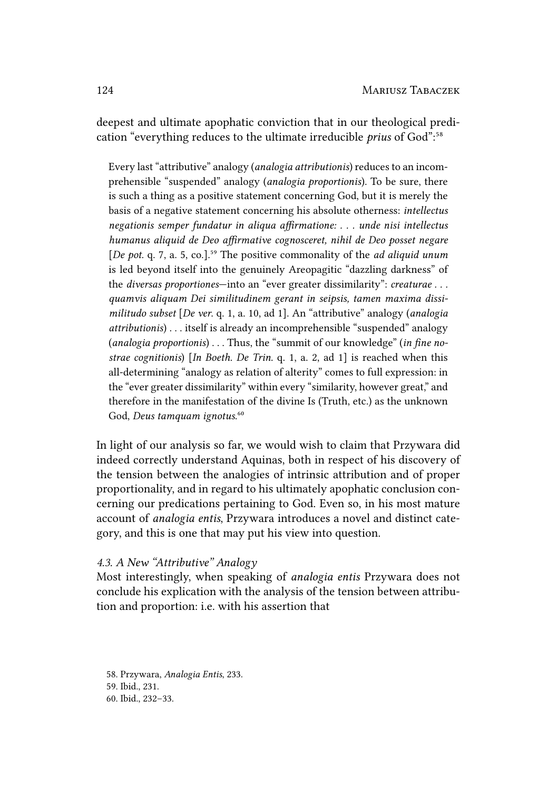deepest and ultimate apophatic conviction that in our theological predication "everything reduces to the ultimate irreducible *prius* of God":<sup>58</sup>

Every last "attributive" analogy (*analogia attributionis*) reduces to an incomprehensible "suspended" analogy (*analogia proportionis*). To be sure, there is such a thing as a positive statement concerning God, but it is merely the basis of a negative statement concerning his absolute otherness: *intellectus negationis semper fundatur in aliqua affirmatione: . . . unde nisi intellectus humanus aliquid de Deo affirmative cognosceret, nihil de Deo posset negare* [*De pot. q. 7, a. 5, co.].*<sup>59</sup> The positive commonality of the *ad aliquid unum* is led beyond itself into the genuinely Areopagitic "dazzling darkness" of the *diversas proportiones*—into an "ever greater dissimilarity": *creaturae . . . quamvis aliquam Dei similitudinem gerant in seipsis, tamen maxima dissimilitudo subset* [*De ver*. q. 1, a. 10, ad 1]. An "attributive" analogy (*analogia attributionis*) . . . itself is already an incomprehensible "suspended" analogy (*analogia proportionis*) . . . Thus, the "summit of our knowledge" (*in fine nostrae cognitionis*) [*In Boeth. De Trin.* q. 1, a. 2, ad 1] is reached when this all-determining "analogy as relation of alterity" comes to full expression: in the "ever greater dissimilarity" within every "similarity, however great," and therefore in the manifestation of the divine Is (Truth, etc.) as the unknown God, *Deus tamquam ignotus.*<sup>60</sup>

In light of our analysis so far, we would wish to claim that Przywara did indeed correctly understand Aquinas, both in respect of his discovery of the tension between the analogies of intrinsic attribution and of proper proportionality, and in regard to his ultimately apophatic conclusion concerning our predications pertaining to God. Even so, in his most mature account of *analogia entis*, Przywara introduces a novel and distinct category, and this is one that may put his view into question.

# *4.3. A New "Attributive" Analogy*

Most interestingly, when speaking of *analogia entis* Przywara does not conclude his explication with the analysis of the tension between attribution and proportion: i.e. with his assertion that

58. Przywara, *Analogia Entis*, 233. 59. Ibid., 231. 60. Ibid., 232–33.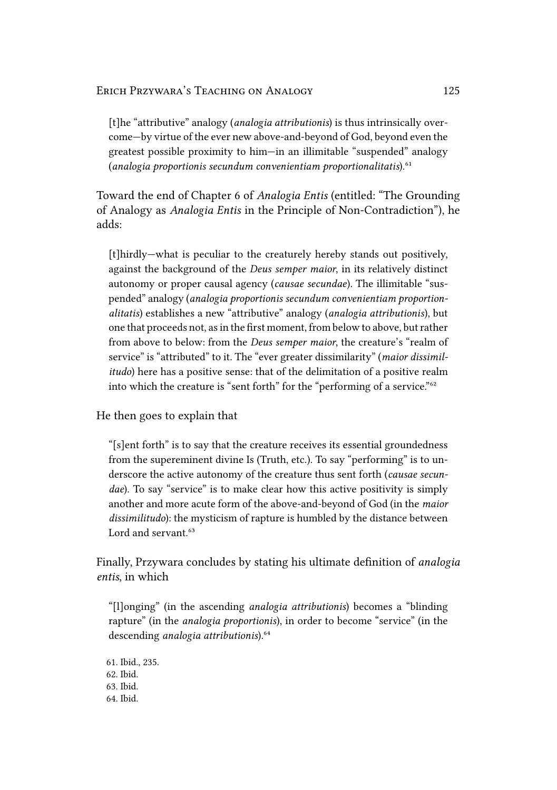[t]he "attributive" analogy (*analogia attributionis*) is thus intrinsically overcome—by virtue of the ever new above-and-beyond of God, beyond even the greatest possible proximity to him—in an illimitable "suspended" analogy (*analogia proportionis secundum convenientiam proportionalitatis*).<sup>61</sup>

Toward the end of Chapter 6 of *Analogia Entis* (entitled: "The Grounding of Analogy as *Analogia Entis* in the Principle of Non-Contradiction"), he adds:

[t]hirdly—what is peculiar to the creaturely hereby stands out positively, against the background of the *Deus semper maior*, in its relatively distinct autonomy or proper causal agency (*causae secundae*). The illimitable "suspended" analogy (*analogia proportionis secundum convenientiam proportionalitatis*) establishes a new "attributive" analogy (*analogia attributionis*), but one that proceeds not, as in the first moment, from below to above, but rather from above to below: from the *Deus semper maior*, the creature's "realm of service" is "attributed" to it. The "ever greater dissimilarity" (*maior dissimilitudo*) here has a positive sense: that of the delimitation of a positive realm into which the creature is "sent forth" for the "performing of a service."<sup>62</sup>

He then goes to explain that

"[s]ent forth" is to say that the creature receives its essential groundedness from the supereminent divine Is (Truth, etc.). To say "performing" is to underscore the active autonomy of the creature thus sent forth (*causae secundae*). To say "service" is to make clear how this active positivity is simply another and more acute form of the above-and-beyond of God (in the *maior dissimilitudo*): the mysticism of rapture is humbled by the distance between Lord and servant.<sup>63</sup>

Finally, Przywara concludes by stating his ultimate definition of *analogia entis*, in which

"[l]onging" (in the ascending *analogia attributionis*) becomes a "blinding rapture" (in the *analogia proportionis*), in order to become "service" (in the descending *analogia* attributionis).<sup>64</sup>

61. Ibid., 235. 62. Ibid. 63. Ibid. 64. Ibid.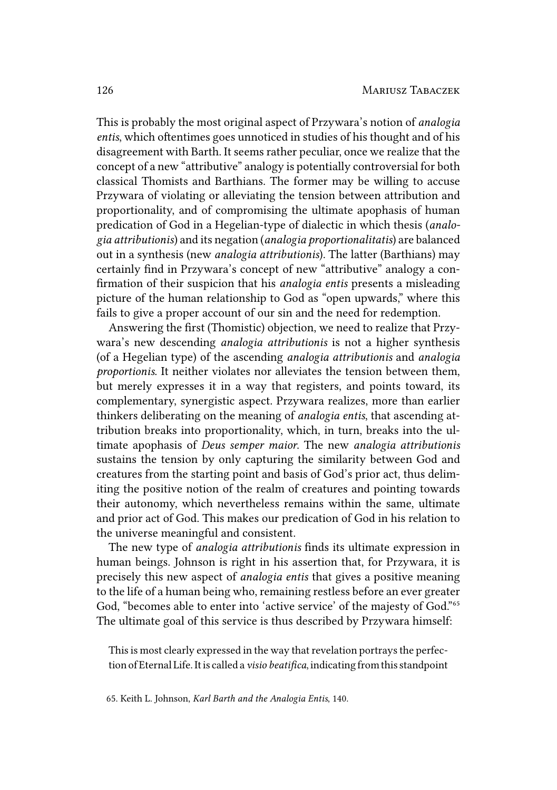This is probably the most original aspect of Przywara's notion of *analogia entis*, which oftentimes goes unnoticed in studies of his thought and of his disagreement with Barth. It seems rather peculiar, once we realize that the concept of a new "attributive" analogy is potentially controversial for both classical Thomists and Barthians. The former may be willing to accuse Przywara of violating or alleviating the tension between attribution and proportionality, and of compromising the ultimate apophasis of human predication of God in a Hegelian-type of dialectic in which thesis (*analogia attributionis*) and its negation (*analogia proportionalitatis*) are balanced out in a synthesis (new *analogia attributionis*). The latter (Barthians) may certainly find in Przywara's concept of new "attributive" analogy a confirmation of their suspicion that his *analogia entis* presents a misleading picture of the human relationship to God as "open upwards," where this fails to give a proper account of our sin and the need for redemption.

Answering the first (Thomistic) objection, we need to realize that Przywara's new descending *analogia attributionis* is not a higher synthesis (of a Hegelian type) of the ascending *analogia attributionis* and *analogia proportionis*. It neither violates nor alleviates the tension between them, but merely expresses it in a way that registers, and points toward, its complementary, synergistic aspect. Przywara realizes, more than earlier thinkers deliberating on the meaning of *analogia entis*, that ascending attribution breaks into proportionality, which, in turn, breaks into the ultimate apophasis of *Deus semper maior*. The new *analogia attributionis* sustains the tension by only capturing the similarity between God and creatures from the starting point and basis of God's prior act, thus delimiting the positive notion of the realm of creatures and pointing towards their autonomy, which nevertheless remains within the same, ultimate and prior act of God. This makes our predication of God in his relation to the universe meaningful and consistent.

The new type of *analogia attributionis* finds its ultimate expression in human beings. Johnson is right in his assertion that, for Przywara, it is precisely this new aspect of *analogia entis* that gives a positive meaning to the life of a human being who, remaining restless before an ever greater God, "becomes able to enter into 'active service' of the majesty of God."<sup>65</sup> The ultimate goal of this service is thus described by Przywara himself:

This is most clearly expressed in the way that revelation portrays the perfection of Eternal Life.It is called a *visio beatifica*, indicating from this standpoint

65. Keith L. Johnson, *Karl Barth and the Analogia Entis*, 140.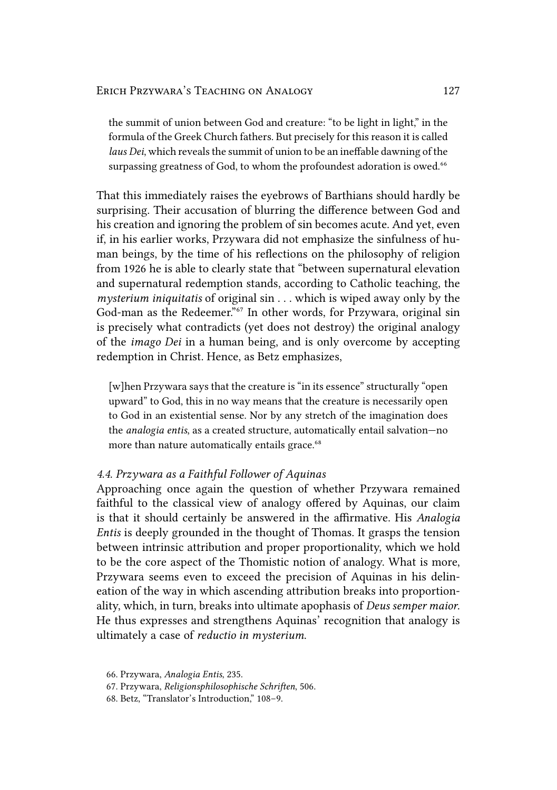the summit of union between God and creature: "to be light in light," in the formula of the Greek Church fathers. But precisely for this reason it is called *laus Dei*, which reveals the summit of union to be an ineffable dawning of the surpassing greatness of God, to whom the profoundest adoration is owed.<sup>66</sup>

That this immediately raises the eyebrows of Barthians should hardly be surprising. Their accusation of blurring the difference between God and his creation and ignoring the problem of sin becomes acute. And yet, even if, in his earlier works, Przywara did not emphasize the sinfulness of human beings, by the time of his reflections on the philosophy of religion from 1926 he is able to clearly state that "between supernatural elevation and supernatural redemption stands, according to Catholic teaching, the *mysterium iniquitatis* of original sin . . . which is wiped away only by the God-man as the Redeemer."<sup>67</sup> In other words, for Przywara, original sin is precisely what contradicts (yet does not destroy) the original analogy of the *imago Dei* in a human being, and is only overcome by accepting redemption in Christ. Hence, as Betz emphasizes,

[w]hen Przywara says that the creature is "in its essence" structurally "open upward" to God, this in no way means that the creature is necessarily open to God in an existential sense. Nor by any stretch of the imagination does the *analogia entis*, as a created structure, automatically entail salvation—no more than nature automatically entails grace.<sup>68</sup>

#### *4.4. Przywara as a Faithful Follower of Aquinas*

Approaching once again the question of whether Przywara remained faithful to the classical view of analogy offered by Aquinas, our claim is that it should certainly be answered in the affirmative. His *Analogia Entis* is deeply grounded in the thought of Thomas. It grasps the tension between intrinsic attribution and proper proportionality, which we hold to be the core aspect of the Thomistic notion of analogy. What is more, Przywara seems even to exceed the precision of Aquinas in his delineation of the way in which ascending attribution breaks into proportionality, which, in turn, breaks into ultimate apophasis of *Deus semper maior*. He thus expresses and strengthens Aquinas' recognition that analogy is ultimately a case of *reductio in mysterium*.

<sup>66.</sup> Przywara, *Analogia Entis*, 235.

<sup>67.</sup> Przywara, *Religionsphilosophische Schriften*, 506.

<sup>68.</sup> Betz, "Translator's Introduction," 108–9.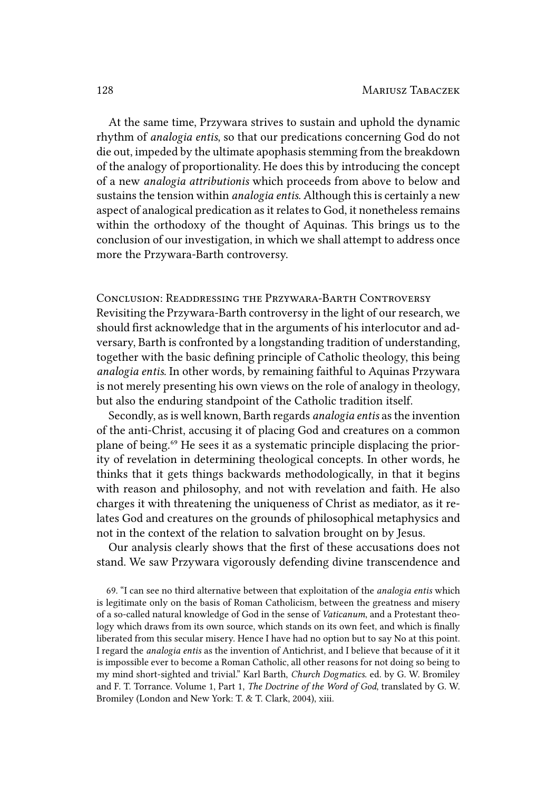At the same time, Przywara strives to sustain and uphold the dynamic rhythm of *analogia entis*, so that our predications concerning God do not die out, impeded by the ultimate apophasis stemming from the breakdown of the analogy of proportionality. He does this by introducing the concept of a new *analogia attributionis* which proceeds from above to below and sustains the tension within *analogia entis*. Although this is certainly a new aspect of analogical predication as it relates to God, it nonetheless remains within the orthodoxy of the thought of Aquinas. This brings us to the conclusion of our investigation, in which we shall attempt to address once more the Przywara-Barth controversy.

CONCLUSION: READDRESSING THE PRZYWARA-BARTH CONTROVERSY Revisiting the Przywara-Barth controversy in the light of our research, we should first acknowledge that in the arguments of his interlocutor and adversary, Barth is confronted by a longstanding tradition of understanding, together with the basic defining principle of Catholic theology, this being *analogia entis*. In other words, by remaining faithful to Aquinas Przywara is not merely presenting his own views on the role of analogy in theology, but also the enduring standpoint of the Catholic tradition itself.

Secondly, as is well known, Barth regards *analogia entis* as the invention of the anti-Christ, accusing it of placing God and creatures on a common plane of being.⁶⁹ He sees it as a systematic principle displacing the priority of revelation in determining theological concepts. In other words, he thinks that it gets things backwards methodologically, in that it begins with reason and philosophy, and not with revelation and faith. He also charges it with threatening the uniqueness of Christ as mediator, as it relates God and creatures on the grounds of philosophical metaphysics and not in the context of the relation to salvation brought on by Jesus.

Our analysis clearly shows that the first of these accusations does not stand. We saw Przywara vigorously defending divine transcendence and

69. "I can see no third alternative between that exploitation of the *analogia entis* which is legitimate only on the basis of Roman Catholicism, between the greatness and misery of a so-called natural knowledge of God in the sense of *Vaticanum*, and a Protestant theology which draws from its own source, which stands on its own feet, and which is finally liberated from this secular misery. Hence I have had no option but to say No at this point. I regard the *analogia entis* as the invention of Antichrist, and I believe that because of it it is impossible ever to become a Roman Catholic, all other reasons for not doing so being to my mind short-sighted and trivial." Karl Barth, *Church Dogmatics*. ed. by G. W. Bromiley and F. T. Torrance. Volume 1, Part 1, *The Doctrine of the Word of God*, translated by G. W. Bromiley (London and New York: T. & T. Clark, 2004), xiii.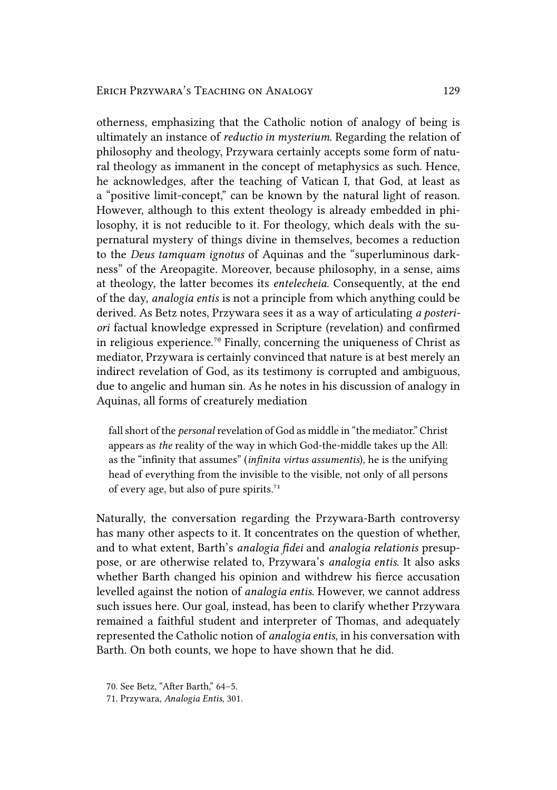otherness, emphasizing that the Catholic notion of analogy of being is ultimately an instance of *reductio in mysterium*. Regarding the relation of philosophy and theology, Przywara certainly accepts some form of natural theology as immanent in the concept of metaphysics as such. Hence, he acknowledges, after the teaching of Vatican I, that God, at least as a "positive limit-concept," can be known by the natural light of reason. However, although to this extent theology is already embedded in philosophy, it is not reducible to it. For theology, which deals with the supernatural mystery of things divine in themselves, becomes a reduction to the *Deus tamquam ignotus* of Aquinas and the "superluminous darkness" of the Areopagite. Moreover, because philosophy, in a sense, aims at theology, the latter becomes its *entelecheia*. Consequently, at the end of the day, *analogia entis* is not a principle from which anything could be derived. As Betz notes, Przywara sees it as a way of articulating *a posteriori* factual knowledge expressed in Scripture (revelation) and confirmed in religious experience.<sup>70</sup> Finally, concerning the uniqueness of Christ as mediator, Przywara is certainly convinced that nature is at best merely an indirect revelation of God, as its testimony is corrupted and ambiguous, due to angelic and human sin. As he notes in his discussion of analogy in Aquinas, all forms of creaturely mediation

fall short of the *personal* revelation of God as middle in "the mediator." Christ appears as *the* reality of the way in which God-the-middle takes up the All: as the "infinity that assumes" (*infinita virtus assumentis*), he is the unifying head of everything from the invisible to the visible, not only of all persons of every age, but also of pure spirits. $71$ 

Naturally, the conversation regarding the Przywara-Barth controversy has many other aspects to it. It concentrates on the question of whether, and to what extent, Barth's *analogia fidei* and *analogia relationis* presuppose, or are otherwise related to, Przywara's *analogia entis*. It also asks whether Barth changed his opinion and withdrew his fierce accusation levelled against the notion of *analogia entis*. However, we cannot address such issues here. Our goal, instead, has been to clarify whether Przywara remained a faithful student and interpreter of Thomas, and adequately represented the Catholic notion of *analogia entis*, in his conversation with Barth. On both counts, we hope to have shown that he did.

<sup>70.</sup> See Betz, "After Barth," 64–5.

<sup>71.</sup> Przywara, *Analogia Entis*, 301.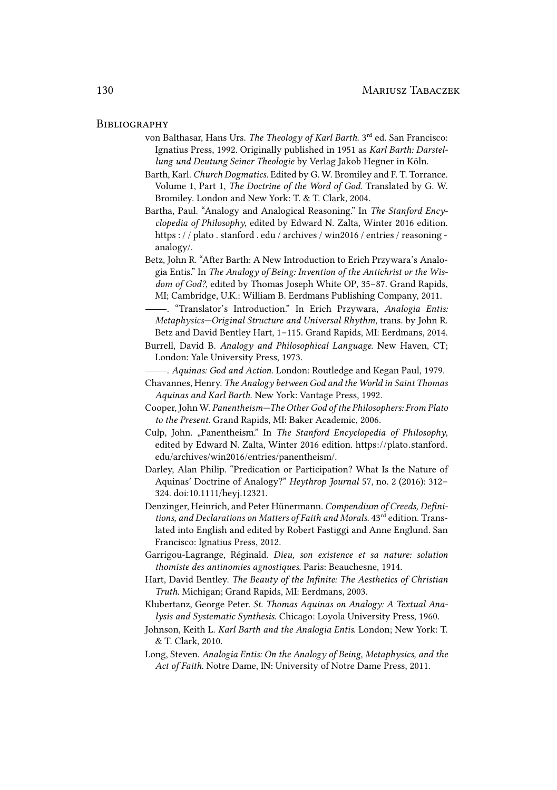#### **BIBLIOGRAPHY**

- von Balthasar, Hans Urs. *The Theology of Karl Barth*. 3<sup>rd</sup> ed. San Francisco: Ignatius Press, 1992. Originally published in 1951 as *Karl Barth: Darstellung und Deutung Seiner Theologie* by Verlag Jakob Hegner in Köln.
- Barth, Karl. *Church Dogmatics*. Edited by G. W. Bromiley and F. T. Torrance. Volume 1, Part 1, *The Doctrine of the Word of God*. Translated by G. W. Bromiley. London and New York: T. & T. Clark, 2004.
- Bartha, Paul. "Analogy and Analogical Reasoning." In *The Stanford Encyclopedia of Philosophy*, edited by Edward N. Zalta, Winter 2016 edition. https : / / plato . stanford . edu / archives / win2016 / entries / reasoning analogy/.
- Betz, John R. "After Barth: A New Introduction to Erich Przywara's Analogia Entis." In *The Analogy of Being: Invention of the Antichrist or the Wisdom of God?*, edited by Thomas Joseph White OP, 35–87. Grand Rapids, MI; Cambridge, U.K.: William B. Eerdmans Publishing Company, 2011.
- . "Translator's Introduction." In Erich Przywara, *Analogia Entis: Metaphysics—Original Structure and Universal Rhythm*, trans. by John R. Betz and David Bentley Hart, 1–115. Grand Rapids, MI: Eerdmans, 2014.
- Burrell, David B. *Analogy and Philosophical Language*. New Haven, CT; London: Yale University Press, 1973.
- . *Aquinas: God and Action*. London: Routledge and Kegan Paul, 1979.
- Chavannes, Henry. *The Analogy between God and the World in Saint Thomas Aquinas and Karl Barth*. New York: Vantage Press, 1992.
- Cooper, John W. *Panentheism—The Other God of the Philosophers: From Plato to the Present*. Grand Rapids, MI: Baker Academic, 2006.
- Culp, John. "Panentheism." In *The Stanford Encyclopedia of Philosophy*, edited by Edward N. Zalta, Winter 2016 edition. https://plato.stanford. edu/archives/win2016/entries/panentheism/.
- Darley, Alan Philip. "Predication or Participation? What Is the Nature of Aquinas' Doctrine of Analogy?" *Heythrop Journal* 57, no. 2 (2016): 312– 324. doi:10.1111/heyj.12321.
- Denzinger, Heinrich, and Peter Hünermann. *Compendium of Creeds, Defini*tions, and Declarations on Matters of Faith and Morals. 43<sup>rd</sup> edition. Translated into English and edited by Robert Fastiggi and Anne Englund. San Francisco: Ignatius Press, 2012.
- Garrigou-Lagrange, Réginald. *Dieu, son existence et sa nature: solution thomiste des antinomies agnostiques*. Paris: Beauchesne, 1914.
- Hart, David Bentley. *The Beauty of the Infinite: The Aesthetics of Christian Truth*. Michigan; Grand Rapids, MI: Eerdmans, 2003.
- Klubertanz, George Peter. *St. Thomas Aquinas on Analogy: A Textual Analysis and Systematic Synthesis*. Chicago: Loyola University Press, 1960.
- Johnson, Keith L. *Karl Barth and the Analogia Entis*. London; New York: T. & T. Clark, 2010.
- Long, Steven. *Analogia Entis: On the Analogy of Being, Metaphysics, and the Act of Faith*. Notre Dame, IN: University of Notre Dame Press, 2011.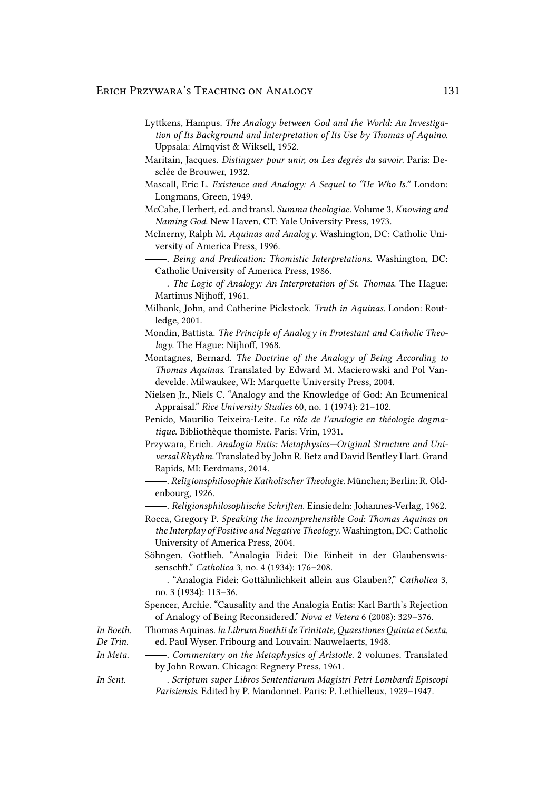- Lyttkens, Hampus. *The Analogy between God and the World: An Investigation of Its Background and Interpretation of Its Use by Thomas of Aquino*. Uppsala: Almqvist & Wiksell, 1952.
- Maritain, Jacques. *Distinguer pour unir, ou Les degrés du savoir*. Paris: Desclée de Brouwer, 1932.
- Mascall, Eric L. *Existence and Analogy: A Sequel to "He Who Is."* London: Longmans, Green, 1949.
- McCabe, Herbert, ed. and transl. *Summa theologiae*. Volume 3, *Knowing and Naming God*. New Haven, CT: Yale University Press, 1973.
- McInerny, Ralph M. *Aquinas and Analogy*. Washington, DC: Catholic University of America Press, 1996.
	- . *Being and Predication: Thomistic Interpretations*. Washington, DC: Catholic University of America Press, 1986.
- . *The Logic of Analogy: An Interpretation of St. Thomas*. The Hague: Martinus Nijhoff, 1961.
- Milbank, John, and Catherine Pickstock. *Truth in Aquinas*. London: Routledge, 2001.
- Mondin, Battista. *The Principle of Analogy in Protestant and Catholic Theology*. The Hague: Nijhoff, 1968.
- Montagnes, Bernard. *The Doctrine of the Analogy of Being According to Thomas Aquinas*. Translated by Edward M. Macierowski and Pol Vandevelde. Milwaukee, WI: Marquette University Press, 2004.
- Nielsen Jr., Niels C. "Analogy and the Knowledge of God: An Ecumenical Appraisal." *Rice University Studies* 60, no. 1 (1974): 21–102.
- Penido, Maurílio Teixeira-Leite. *Le rôle de l'analogie en théologie dogmatique*. Bibliothèque thomiste. Paris: Vrin, 1931.
- Przywara, Erich. *Analogia Entis: Metaphysics—Original Structure and Universal Rhythm*. Translated by John R. Betz and David Bentley Hart. Grand Rapids, MI: Eerdmans, 2014.
- . *Religionsphilosophie Katholischer Theologie*. München; Berlin: R. Oldenbourg, 1926.
- . *Religionsphilosophische Schriften*. Einsiedeln: Johannes-Verlag, 1962.
- Rocca, Gregory P. *Speaking the Incomprehensible God: Thomas Aquinas on the Interplay of Positive and Negative Theology*. Washington, DC: Catholic University of America Press, 2004.
- Söhngen, Gottlieb. "Analogia Fidei: Die Einheit in der Glaubenswissenschft." *Catholica* 3, no. 4 (1934): 176–208.
- . "Analogia Fidei: Gottähnlichkeit allein aus Glauben?," *Catholica* 3, no. 3 (1934): 113–36.
- Spencer, Archie. "Causality and the Analogia Entis: Karl Barth's Rejection of Analogy of Being Reconsidered." *Nova et Vetera* 6 (2008): 329–376. Thomas Aquinas. *In Librum Boethii de Trinitate, Quaestiones Quinta et Sexta*,

*In Boeth.*

- *De Trin.* ed. Paul Wyser. Fribourg and Louvain: Nauwelaerts, 1948.
- *In Meta*. . *Commentary on the Metaphysics of Aristotle*. 2 volumes. Translated by John Rowan. Chicago: Regnery Press, 1961.
- *In Sent*. . *Scriptum super Libros Sententiarum Magistri Petri Lombardi Episcopi Parisiensis*. Edited by P. Mandonnet. Paris: P. Lethielleux, 1929–1947.